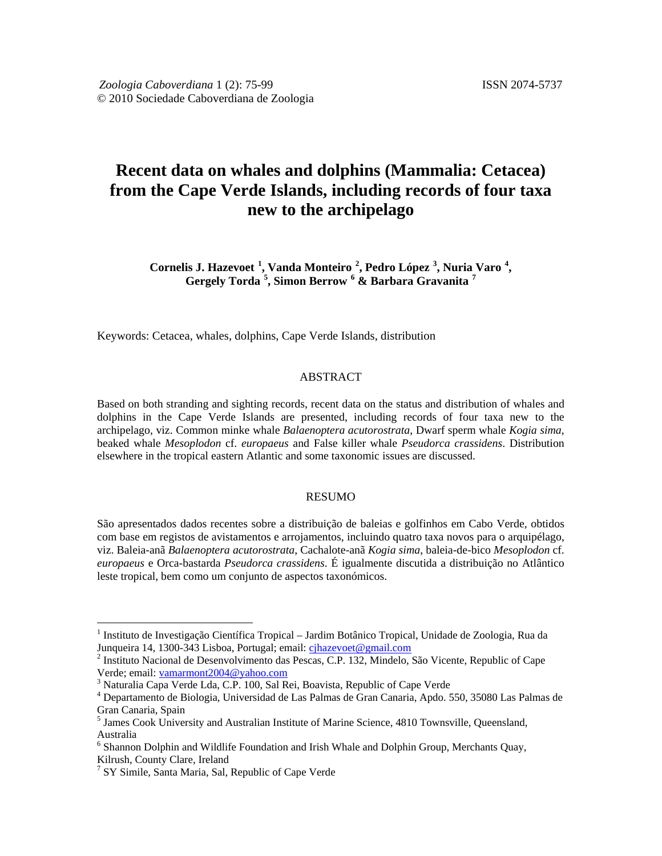# **Recent data on whales and dolphins (Mammalia: Cetacea) from the Cape Verde Islands, including records of four taxa new to the archipelago**

**Cornelis J. Hazevoet [1](#page-0-0) , Vanda Monteiro [2](#page-0-1) , Pedro López [3](#page-0-2) , Nuria Varo [4](#page-0-3)** is J. Hazevoet <sup>1</sup>, Vanda Monteiro <sup>2</sup>, Pedro López <sup>3</sup>, Nuria Varo <sup>4</sup>,<br>Gergely Torda <sup>[5](#page-0-4)</sup>, Simon Berrow <sup>6</sup> & Barbara Gravanita <sup>7</sup>

Keywords: Cetacea, whales, dolphins, Cape Verde Islands, distribution

#### ABSTRACT

Based on both stranding and sighting records, recent data on the status and distribution of whales and dolphins in the Cape Verde Islands are presented, including records of four taxa new to the archipelago, viz. Common minke whale *Balaenoptera acutorostrata*, Dwarf sperm whale *Kogia sima*, beaked whale *Mesoplodon* cf. *europaeus* and False killer whale *Pseudorca crassidens*. Distribution elsewhere in the tropical eastern Atlantic and some taxonomic issues are discussed.

#### RESUMO

São apresentados dados recentes sobre a distribuição de baleias e golfinhos em Cabo Verde, obtidos com base em registos de avistamentos e arrojamentos, incluindo quatro taxa novos para o arquipélago, viz. Baleia-anã *Balaenoptera acutorostrata*, Cachalote-anã *Kogia sima*, baleia-de-bico *Mesoplodon* cf. *europaeus* e Orca-bastarda *Pseudorca crassidens*. É igualmente discutida a distribuição no Atlântico leste tropical, bem como um conjunto de aspectos taxonómicos.

<span id="page-0-0"></span><sup>&</sup>lt;sup>1</sup> Instituto de Investigação Científica Tropical – Jardim Botânico Tropical, Unidade de Zoologia, Rua da<br>Junqueira 14, 1300-343 Lisboa, Portugal; email: cjhazevoet@gmail.com

<span id="page-0-1"></span><sup>&</sup>lt;sup>2</sup> Instituto Nacional de Desenvolvimento das Pescas, C.P. 132, Mindelo, São Vicente, Republic of Cape Verde; email: vamarmont2004@yahoo.com

<span id="page-0-3"></span><span id="page-0-2"></span><sup>&</sup>lt;sup>3</sup> Naturalia Capa Verde Lda, C.P. 100, Sal Rei, Boavista, Republic of Cape Verde  $4$  Departamento de Biologia, Universidad de Las Palmas de Gran Canaria, Apdo. 550, 35080 Las Palmas de Gran Canaria, Spain

<span id="page-0-4"></span><sup>5</sup> James Cook University and Australian Institute of Marine Science, 4810 Townsville, Queensland, Australia

<span id="page-0-5"></span><sup>6</sup> Shannon Dolphin and Wildlife Foundation and Irish Whale and Dolphin Group, Merchants Quay, Kilrush, County Clare, Ireland

<span id="page-0-6"></span><sup>&</sup>lt;sup>7</sup> SY Simile, Santa Maria, Sal, Republic of Cape Verde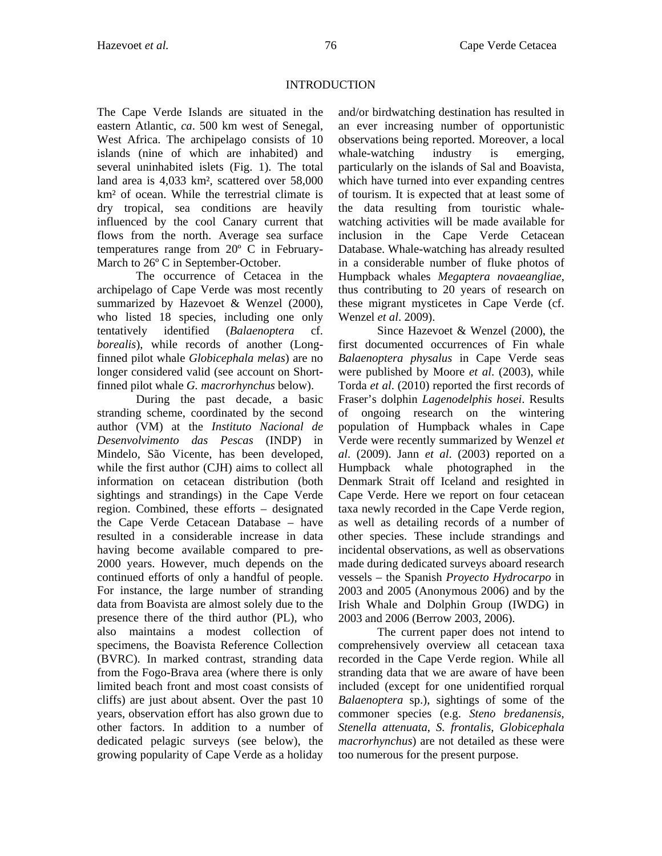## INTRODUCTION

The Cape Verde Islands are situated in the eastern Atlantic, *ca*. 500 km west of Senegal, West Africa. The archipelago consists of 10 islands (nine of which are inhabited) and several uninhabited islets (Fig. 1). The total land area is 4,033 km², scattered over 58,000 km² of ocean. While the terrestrial climate is dry tropical, sea conditions are heavily influenced by the cool Canary current that flows from the north. Average sea surface temperatures range from 20º C in February-March to  $26^{\circ}$  C in September-October.

The occurrence of Cetacea in the archipelago of Cape Verde was most recently summarized by Hazevoet & Wenzel (2000), who listed 18 species, including one only tentatively identified (*Balaenoptera* cf. *borealis*), while records of another (Longfinned pilot whale *Globicephala melas*) are no longer considered valid (see account on Shortfinned pilot whale *G. macrorhynchus* below).

During the past decade, a basic stranding scheme, coordinated by the second author (VM) at the *Instituto Nacional de Desenvolvimento das Pescas* (INDP) in Mindelo, São Vicente, has been developed, while the first author (CJH) aims to collect all information on cetacean distribution (both sightings and strandings) in the Cape Verde region. Combined, these efforts – designated the Cape Verde Cetacean Database – have resulted in a considerable increase in data having become available compared to pre-2000 years. However, much depends on the continued efforts of only a handful of people. For instance, the large number of stranding data from Boavista are almost solely due to the presence there of the third author (PL), who also maintains a modest collection of specimens, the Boavista Reference Collection (BVRC). In marked contrast, stranding data from the Fogo-Brava area (where there is only limited beach front and most coast consists of cliffs) are just about absent. Over the past 10 years, observation effort has also grown due to other factors. In addition to a number of dedicated pelagic surveys (see below), the growing popularity of Cape Verde as a holiday

and/or birdwatching destination has resulted in an ever increasing number of opportunistic observations being reported. Moreover, a local whale-watching industry is emerging, particularly on the islands of Sal and Boavista, which have turned into ever expanding centres of tourism. It is expected that at least some of the data resulting from touristic whalewatching activities will be made available for inclusion in the Cape Verde Cetacean Database. Whale-watching has already resulted in a considerable number of fluke photos of Humpback whales *Megaptera novaeangliae*, thus contributing to 20 years of research on these migrant mysticetes in Cape Verde (cf. Wenzel *et al*. 2009).

Since Hazevoet & Wenzel (2000), the first documented occurrences of Fin whale *Balaenoptera physalus* in Cape Verde seas were published by Moore *et al*. (2003), while Torda *et al*. (2010) reported the first records of Fraser's dolphin *Lagenodelphis hosei*. Results of ongoing research on the wintering population of Humpback whales in Cape Verde were recently summarized by Wenzel *et al*. (2009). Jann *et al*. (2003) reported on a Humpback whale photographed in the Denmark Strait off Iceland and resighted in Cape Verde. Here we report on four cetacean taxa newly recorded in the Cape Verde region, as well as detailing records of a number of other species. These include strandings and incidental observations, as well as observations made during dedicated surveys aboard research vessels – the Spanish *Proyecto Hydrocarpo* in 2003 and 2005 (Anonymous 2006) and by the Irish Whale and Dolphin Group (IWDG) in 2003 and 2006 (Berrow 2003, 2006).

The current paper does not intend to comprehensively overview all cetacean taxa recorded in the Cape Verde region. While all stranding data that we are aware of have been included (except for one unidentified rorqual *Balaenoptera* sp.), sightings of some of the commoner species (e.g. *Steno bredanensis*, *Stenella attenuata*, *S. frontalis*, *Globicephala macrorhynchus*) are not detailed as these were too numerous for the present purpose.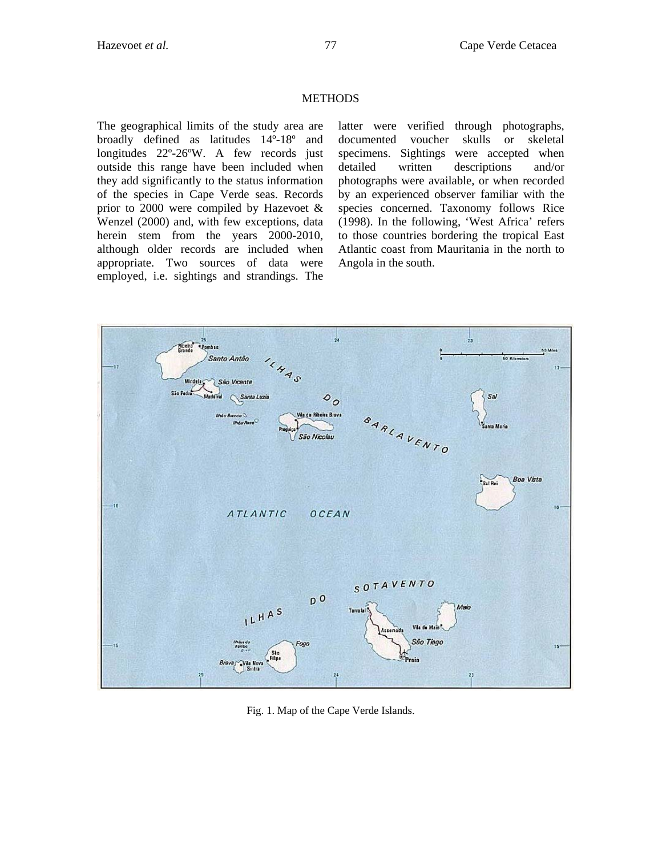## **METHODS**

The geographical limits of the study area are broadly defined as latitudes 14º-18º and longitudes 22º-26ºW. A few records just outside this range have been included when they add significantly to the status information of the species in Cape Verde seas. Records prior to 2000 were compiled by Hazevoet  $\&$ Wenzel (2000) and, with few exceptions, data herein stem from the years 2000-2010, although older records are included when appropriate. Two sources of data were employed, i.e. sightings and strandings. The

latter were verified through photographs, documented voucher skulls or skeletal specimens. Sightings were accepted when detailed written descriptions and/or photographs were available, or when recorded by an experienced observer familiar with the species concerned. Taxonomy follows Rice (1998). In the following, 'West Africa' refers to those countries bordering the tropical East Atlantic coast from Mauritania in the north to Angola in the south.



Fig. 1. Map of the Cape Verde Islands.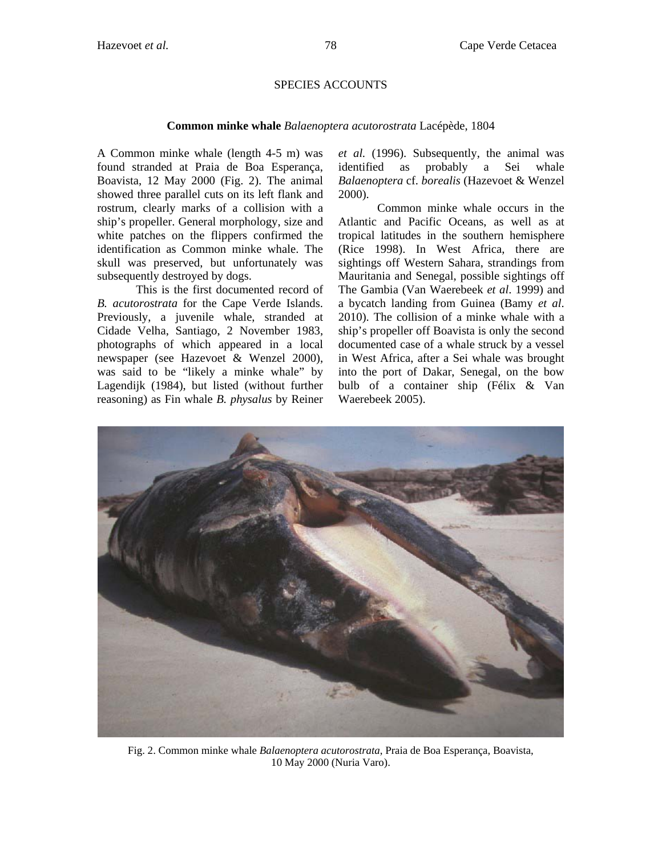## SPECIES ACCOUNTS

#### **Common minke whale** *Balaenoptera acutorostrata* Lacépède, 1804

A Common minke whale (length 4-5 m) was found stranded at Praia de Boa Esperança, Boavista, 12 May 2000 (Fig. 2). The animal showed three parallel cuts on its left flank and rostrum, clearly marks of a collision with a ship's propeller. General morphology, size and white patches on the flippers confirmed the identification as Common minke whale. The skull was preserved, but unfortunately was subsequently destroyed by dogs.

This is the first documented record of *B. acutorostrata* for the Cape Verde Islands. Previously, a juvenile whale, stranded at Cidade Velha, Santiago, 2 November 1983, photographs of which appeared in a local newspaper (see Hazevoet & Wenzel 2000), was said to be "likely a minke whale" by Lagendijk (1984), but listed (without further reasoning) as Fin whale *B. physalus* by Reiner *et al.* (1996). Subsequently, the animal was identified as probably a Sei whale *Balaenoptera* cf. *borealis* (Hazevoet & Wenzel 2000).

Common minke whale occurs in the Atlantic and Pacific Oceans, as well as at tropical latitudes in the southern hemisphere (Rice 1998). In West Africa, there are sightings off Western Sahara, strandings from Mauritania and Senegal, possible sightings off The Gambia (Van Waerebeek *et al*. 1999) and a bycatch landing from Guinea (Bamy *et al*. 2010). The collision of a minke whale with a ship's propeller off Boavista is only the second documented case of a whale struck by a vessel in West Africa, after a Sei whale was brought into the port of Dakar, Senegal, on the bow bulb of a container ship (Félix & Van Waerebeek 2005).



Fig. 2. Common minke whale *Balaenoptera acutorostrata*, Praia de Boa Esperança, Boavista, 10 May 2000 (Nuria Varo).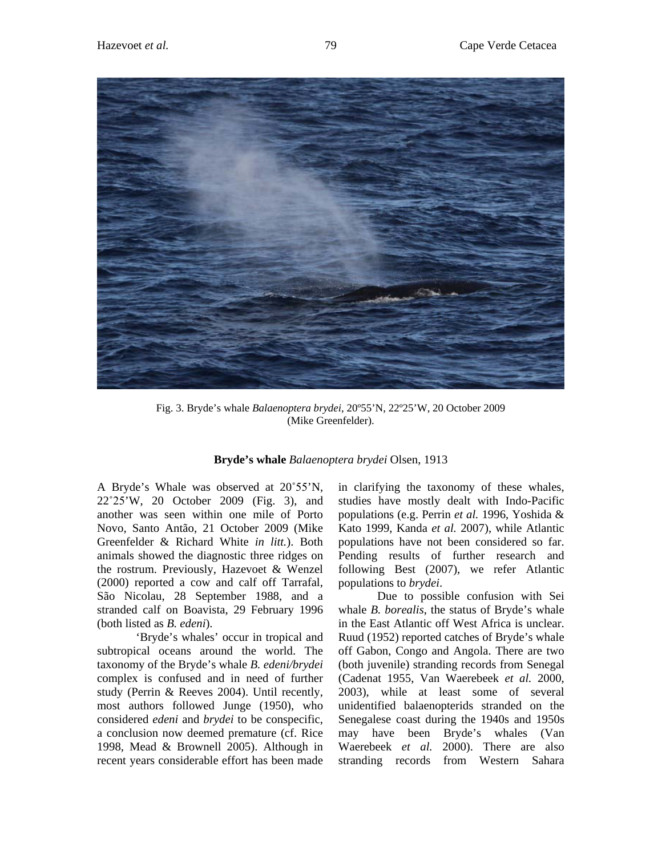

Fig. 3. Bryde's whale *Balaenoptera brydei*, 20º55'N, 22º25'W, 20 October 2009 (Mike Greenfelder).

#### **Bryde's whale** *Balaenoptera brydei* Olsen, 1913

A Bryde's Whale was observed at 20˚55'N, 22˚25'W, 20 October 2009 (Fig. 3), and another was seen within one mile of Porto Novo, Santo Antão, 21 October 2009 (Mike Greenfelder & Richard White *in litt.*). Both animals showed the diagnostic three ridges on the rostrum. Previously, Hazevoet & Wenzel (2000) reported a cow and calf off Tarrafal, São Nicolau, 28 September 1988, and a stranded calf on Boavista, 29 February 1996 (both listed as *B. edeni*).

'Bryde's whales' occur in tropical and subtropical oceans around the world. The taxonomy of the Bryde's whale *B. edeni/brydei* complex is confused and in need of further study (Perrin & Reeves 2004). Until recently, most authors followed Junge (1950), who considered *edeni* and *brydei* to be conspecific, a conclusion now deemed premature (cf. Rice 1998, Mead & Brownell 2005). Although in recent years considerable effort has been made in clarifying the taxonomy of these whales, studies have mostly dealt with Indo-Pacific populations (e.g. Perrin *et al.* 1996, Yoshida & Kato 1999, Kanda *et al.* 2007), while Atlantic populations have not been considered so far. Pending results of further research and following Best (2007), we refer Atlantic populations to *brydei*.

Due to possible confusion with Sei whale *B. borealis*, the status of Bryde's whale in the East Atlantic off West Africa is unclear. Ruud (1952) reported catches of Bryde's whale off Gabon, Congo and Angola. There are two (both juvenile) stranding records from Senegal (Cadenat 1955, Van Waerebeek *et al.* 2000, 2003), while at least some of several unidentified balaenopterids stranded on the Senegalese coast during the 1940s and 1950s may have been Bryde's whales (Van Waerebeek *et al.* 2000). There are also stranding records from Western Sahara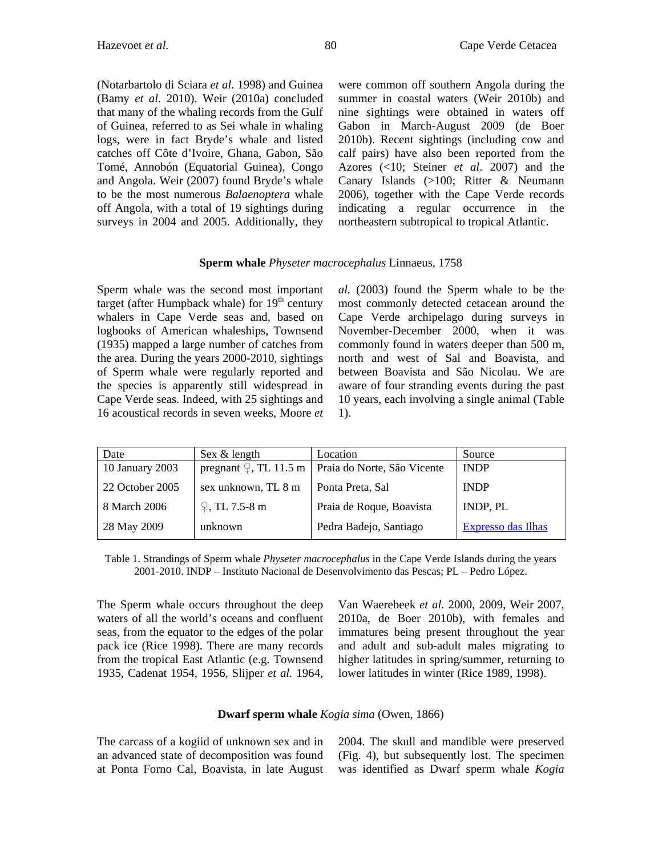(Notarbartolo di Sciara *et al.* 1998) and Guinea (Bamy *et al.* 2010). Weir (2010a) concluded that many of the whaling records from the Gulf of Guinea, referred to as Sei whale in whaling logs, were in fact Bryde's whale and listed catches off Côte d'Ivoire, Ghana, Gabon, São Tomé, Annobón (Equatorial Guinea), Congo and Angola. Weir (2007) found Bryde's whale to be the most numerous *Balaenoptera* whale off Angola, with a total of 19 sightings during surveys in 2004 and 2005. Additionally, they were common off southern Angola during the summer in coastal waters (Weir 2010b) and nine sightings were obtained in waters off Gabon in March-August 2009 (de Boer 2010b). Recent sightings (including cow and calf pairs) have also been reported from the Azores (<10; Steiner *et al*. 2007) and the Canary Islands (>100; Ritter & Neumann 2006), together with the Cape Verde records indicating a regular occurrence in the northeastern subtropical to tropical Atlantic.

#### **Sperm whale** *Physeter macrocephalus* Linnaeus, 1758

Sperm whale was the second most important target (after Humpback whale) for  $19<sup>th</sup>$  century whalers in Cape Verde seas and, based on logbooks of American whaleships, Townsend (1935) mapped a large number of catches from the area. During the years 2000-2010, sightings of Sperm whale were regularly reported and the species is apparently still widespread in Cape Verde seas. Indeed, with 25 sightings and 16 acoustical records in seven weeks, Moore *et*  *al.* (2003) found the Sperm whale to be the most commonly detected cetacean around the Cape Verde archipelago during surveys in November-December 2000, when it was commonly found in waters deeper than 500 m, north and west of Sal and Boavista, and between Boavista and São Nicolau. We are aware of four stranding events during the past 10 years, each involving a single animal (Table 1).

| Date            | Sex & length                       | Location                    | Source                    |
|-----------------|------------------------------------|-----------------------------|---------------------------|
| 10 January 2003 | pregnant $\mathcal{Q}$ , TL 11.5 m | Praia do Norte, São Vicente | <b>INDP</b>               |
| 22 October 2005 | sex unknown, TL 8 m                | Ponta Preta, Sal            | <b>INDP</b>               |
| 8 March 2006    | $\sqrt{2}$ , TL 7.5-8 m            | Praia de Roque, Boavista    | INDP, PL                  |
| 28 May 2009     | unknown                            | Pedra Badejo, Santiago      | <b>Expresso das Ilhas</b> |

Table 1. Strandings of Sperm whale *Physeter macrocephalus* in the Cape Verde Islands during the years 2001-2010. INDP – Instituto Nacional de Desenvolvimento das Pescas; PL – Pedro López.

The Sperm whale occurs throughout the deep waters of all the world's oceans and confluent seas, from the equator to the edges of the polar pack ice (Rice 1998). There are many records from the tropical East Atlantic (e.g. Townsend 1935, Cadenat 1954, 1956, Slijper *et al.* 1964, Van Waerebeek *et al.* 2000, 2009, Weir 2007, 2010a, de Boer 2010b), with females and immatures being present throughout the year and adult and sub-adult males migrating to higher latitudes in spring/summer, returning to lower latitudes in winter (Rice 1989, 1998).

## **Dwarf sperm whale** *Kogia sima* (Owen, 1866)

The carcass of a kogiid of unknown sex and in an advanced state of decomposition was found at Ponta Forno Cal, Boavista, in late August 2004. The skull and mandible were preserved (Fig. 4), but subsequently lost. The specimen was identified as Dwarf sperm whale *Kogia*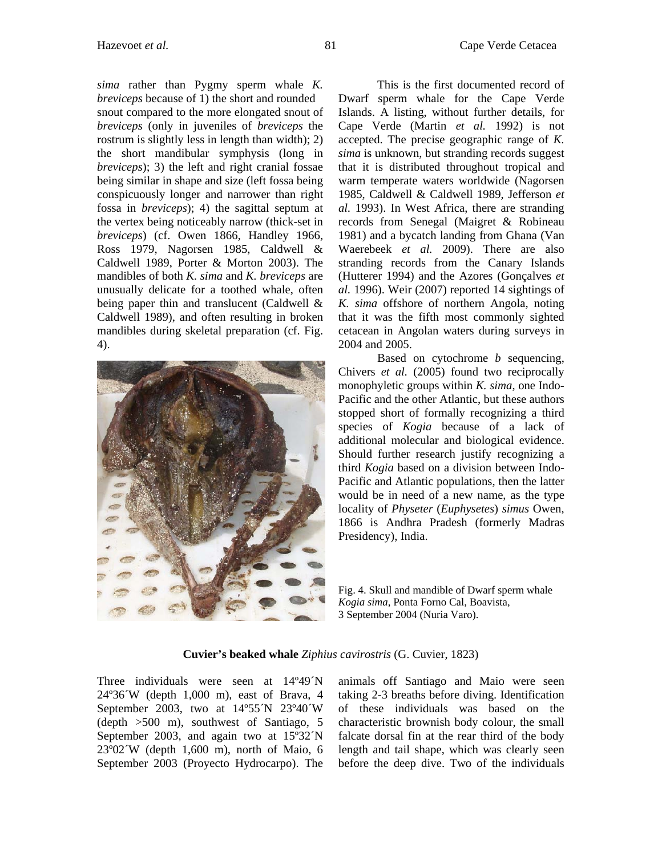*sima* rather than Pygmy sperm whale *K. breviceps* because of 1) the short and rounded snout compared to the more elongated snout of *breviceps* (only in juveniles of *breviceps* the rostrum is slightly less in length than width); 2) the short mandibular symphysis (long in *breviceps*); 3) the left and right cranial fossae being similar in shape and size (left fossa being conspicuously longer and narrower than right fossa in *breviceps*); 4) the sagittal septum at the vertex being noticeably narrow (thick-set in *breviceps*) (cf. Owen 1866, Handley 1966, Ross 1979, Nagorsen 1985, Caldwell & Caldwell 1989, Porter & Morton 2003). The mandibles of both *K. sima* and *K. breviceps* are unusually delicate for a toothed whale, often being paper thin and translucent (Caldwell & Caldwell 1989), and often resulting in broken mandibles during skeletal preparation (cf. Fig. 4).



Hazevoet *et al.* 81 Cape Verde Cetacea

This is the first documented record of Dwarf sperm whale for the Cape Verde Islands. A listing, without further details, for Cape Verde (Martin *et al.* 1992) is not accepted. The precise geographic range of *K. sima* is unknown, but stranding records suggest that it is distributed throughout tropical and warm temperate waters worldwide (Nagorsen 1985, Caldwell & Caldwell 1989, Jefferson *et al.* 1993). In West Africa, there are stranding records from Senegal (Maigret & Robineau 1981) and a bycatch landing from Ghana (Van Waerebeek *et al.* 2009). There are also stranding records from the Canary Islands (Hutterer 1994) and the Azores (Gonçalves *et al.* 1996). Weir (2007) reported 14 sightings of *K. sima* offshore of northern Angola, noting that it was the fifth most commonly sighted cetacean in Angolan waters during surveys in 2004 and 2005.

Based on cytochrome *b* sequencing, Chivers *et al.* (2005) found two reciprocally monophyletic groups within *K. sima*, one Indo-Pacific and the other Atlantic, but these authors stopped short of formally recognizing a third species of *Kogia* because of a lack of additional molecular and biological evidence. Should further research justify recognizing a third *Kogia* based on a division between Indo-Pacific and Atlantic populations, then the latter would be in need of a new name, as the type locality of *Physeter* (*Euphysetes*) *simus* Owen, 1866 is Andhra Pradesh (formerly Madras Presidency), India.

Fig. 4. Skull and mandible of Dwarf sperm whale *Kogia sima*, Ponta Forno Cal, Boavista, 3 September 2004 (Nuria Varo).

#### **Cuvier's beaked whale** *Ziphius cavirostris* (G. Cuvier, 1823)

Three individuals were seen at 14°49<sup> $\gamma$ </sup>N 24º36´W (depth 1,000 m), east of Brava, 4 September 2003, two at 14º55´N 23º40´W (depth >500 m), southwest of Santiago, 5 September 2003, and again two at 15º32´N 23º02´W (depth 1,600 m), north of Maio, 6 September 2003 (Proyecto Hydrocarpo). The animals off Santiago and Maio were seen taking 2-3 breaths before diving. Identification of these individuals was based on the characteristic brownish body colour, the small falcate dorsal fin at the rear third of the body length and tail shape, which was clearly seen before the deep dive. Two of the individuals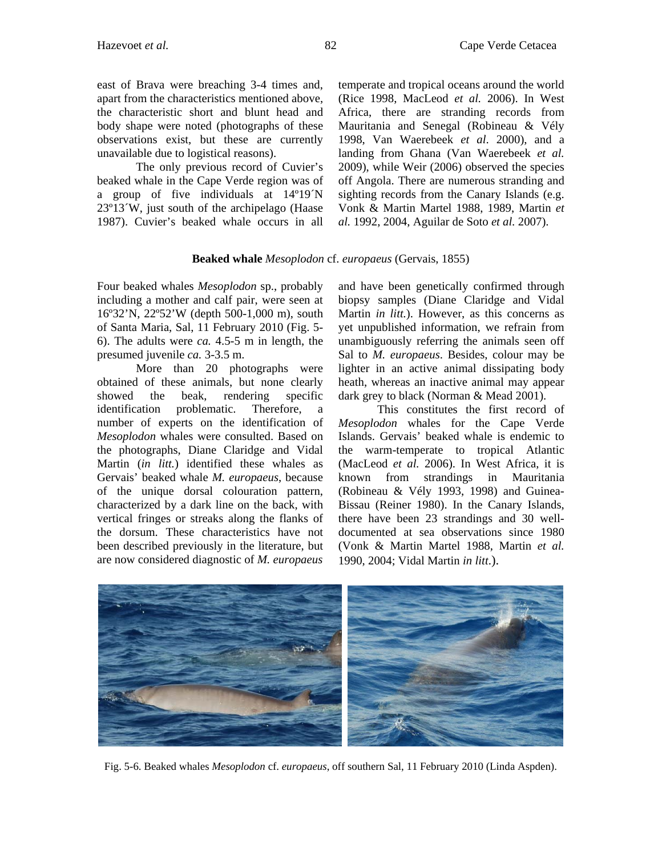east of Brava were breaching 3-4 times and, apart from the characteristics mentioned above, the characteristic short and blunt head and body shape were noted (photographs of these observations exist, but these are currently unavailable due to logistical reasons).

The only previous record of Cuvier's beaked whale in the Cape Verde region was of a group of five individuals at 14º19´N 23º13´W, just south of the archipelago (Haase 1987). Cuvier's beaked whale occurs in all temperate and tropical oceans around the world (Rice 1998, MacLeod *et al.* 2006). In West Africa, there are stranding records from Mauritania and Senegal (Robineau & Vély 1998, Van Waerebeek *et al*. 2000), and a landing from Ghana (Van Waerebeek *et al.*  2009), while Weir (2006) observed the species off Angola. There are numerous stranding and sighting records from the Canary Islands (e.g. Vonk & Martin Martel 1988, 1989, Martin *et al.* 1992, 2004, Aguilar de Soto *et al.* 2007).

## **Beaked whale** *Mesoplodon* cf. *europaeus* (Gervais, 1855)

Four beaked whales *Mesoplodon* sp., probably including a mother and calf pair, were seen at 16º32'N, 22º52'W (depth 500-1,000 m), south of Santa Maria, Sal, 11 February 2010 (Fig. 5- 6). The adults were *ca.* 4.5-5 m in length, the presumed juvenile *ca.* 3-3.5 m.

More than 20 photographs were obtained of these animals, but none clearly showed the beak, rendering specific identification problematic. Therefore, a number of experts on the identification of *Mesoplodon* whales were consulted. Based on the photographs, Diane Claridge and Vidal Martin (*in litt.*) identified these whales as Gervais' beaked whale *M. europaeus*, because of the unique dorsal colouration pattern, characterized by a dark line on the back, with vertical fringes or streaks along the flanks of the dorsum. These characteristics have not been described previously in the literature, but are now considered diagnostic of *M. europaeus*

and have been genetically confirmed through biopsy samples (Diane Claridge and Vidal Martin *in litt.*). However, as this concerns as yet unpublished information, we refrain from unambiguously referring the animals seen off Sal to *M. europaeus*. Besides, colour may be lighter in an active animal dissipating body heath, whereas an inactive animal may appear dark grey to black (Norman & Mead 2001).

This constitutes the first record of *Mesoplodon* whales for the Cape Verde Islands. Gervais' beaked whale is endemic to the warm-temperate to tropical Atlantic (MacLeod *et al.* 2006). In West Africa, it is known from strandings in Mauritania (Robineau & Vély 1993, 1998) and Guinea-Bissau (Reiner 1980). In the Canary Islands, there have been 23 strandings and 30 welldocumented at sea observations since 1980 (Vonk & Martin Martel 1988, Martin *et al.*  1990, 2004; Vidal Martin *in litt*.).



Fig. 5-6. Beaked whales *Mesoplodon* cf. *europaeus*, off southern Sal, 11 February 2010 (Linda Aspden).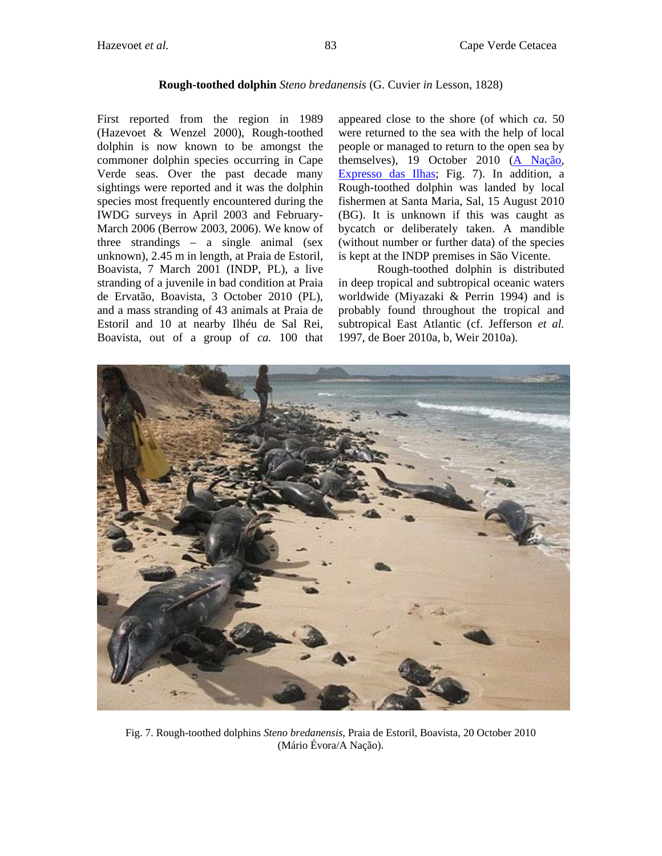#### **Rough-toothed dolphin** *Steno bredanensis* (G. Cuvier *in* Lesson, 1828)

First reported from the region in 1989 (Hazevoet & Wenzel 2000), Rough-toothed dolphin is now known to be amongst the commoner dolphin species occurring in Cape Verde seas. Over the past decade many sightings were reported and it was the dolphin species most frequently encountered during the IWDG surveys in April 2003 and February-March 2006 (Berrow 2003, 2006). We know of three strandings – a single animal (sex unknown), 2.45 m in length, at Praia de Estoril, Boavista, 7 March 2001 (INDP, PL), a live stranding of a juvenile in bad condition at Praia de Ervatão, Boavista, 3 October 2010 (PL), and a mass stranding of 43 animals at Praia de Estoril and 10 at nearby Ilhéu de Sal Rei, Boavista, out of a group of *ca.* 100 that

appeared close to the shore (of which *ca.* 50 were returned to the sea with the help of local people or managed to return to the open sea by themselves), 19 October 2010 [\(A Nação,](http://www.alfa.cv/anacao/index.php?option=com_content&task=view&id=1702&Itemid=1) [Expresso das Ilhas;](http://www.expressodasilhas.sapo.cv/pt/noticias/go/boa-vista--100-golfinhos-deram-a-costa--metade-morreu) Fig. 7). In addition, a Rough-toothed dolphin was landed by local fishermen at Santa Maria, Sal, 15 August 2010 (BG). It is unknown if this was caught as bycatch or deliberately taken. A mandible (without number or further data) of the species is kept at the INDP premises in São Vicente.

Rough-toothed dolphin is distributed in deep tropical and subtropical oceanic waters worldwide (Miyazaki & Perrin 1994) and is probably found throughout the tropical and subtropical East Atlantic (cf. Jefferson *et al.*  1997, de Boer 2010a, b, Weir 2010a).



Fig. 7. Rough-toothed dolphins *Steno bredanensis,* Praia de Estoril, Boavista, 20 October 2010 (Mário Évora/A Nação).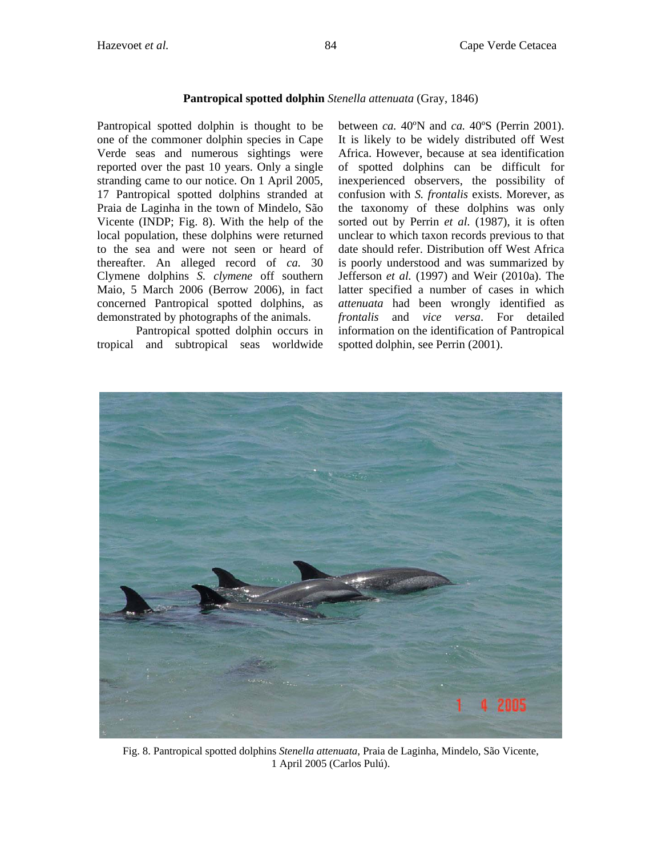# **Pantropical spotted dolphin** *Stenella attenuata* (Gray, 1846)

Pantropical spotted dolphin is thought to be one of the commoner dolphin species in Cape Verde seas and numerous sightings were reported over the past 10 years. Only a single stranding came to our notice. On 1 April 2005, 17 Pantropical spotted dolphins stranded at Praia de Laginha in the town of Mindelo, São Vicente (INDP; Fig. 8). With the help of the local population, these dolphins were returned to the sea and were not seen or heard of thereafter. An alleged record of *ca.* 30 Clymene dolphins *S. clymene* off southern Maio, 5 March 2006 (Berrow 2006), in fact concerned Pantropical spotted dolphins, as demonstrated by photographs of the animals.

Pantropical spotted dolphin occurs in tropical and subtropical seas worldwide between *ca.* 40ºN and *ca.* 40ºS (Perrin 2001). It is likely to be widely distributed off West Africa. However, because at sea identification of spotted dolphins can be difficult for inexperienced observers, the possibility of confusion with *S. frontalis* exists. Morever, as the taxonomy of these dolphins was only sorted out by Perrin *et al.* (1987), it is often unclear to which taxon records previous to that date should refer. Distribution off West Africa is poorly understood and was summarized by Jefferson *et al.* (1997) and Weir (2010a). The latter specified a number of cases in which *attenuata* had been wrongly identified as *frontalis* and *vice versa*. For detailed information on the identification of Pantropical spotted dolphin, see Perrin (2001).



Fig. 8. Pantropical spotted dolphins *Stenella attenuata*, Praia de Laginha, Mindelo, São Vicente, 1 April 2005 (Carlos Pulú).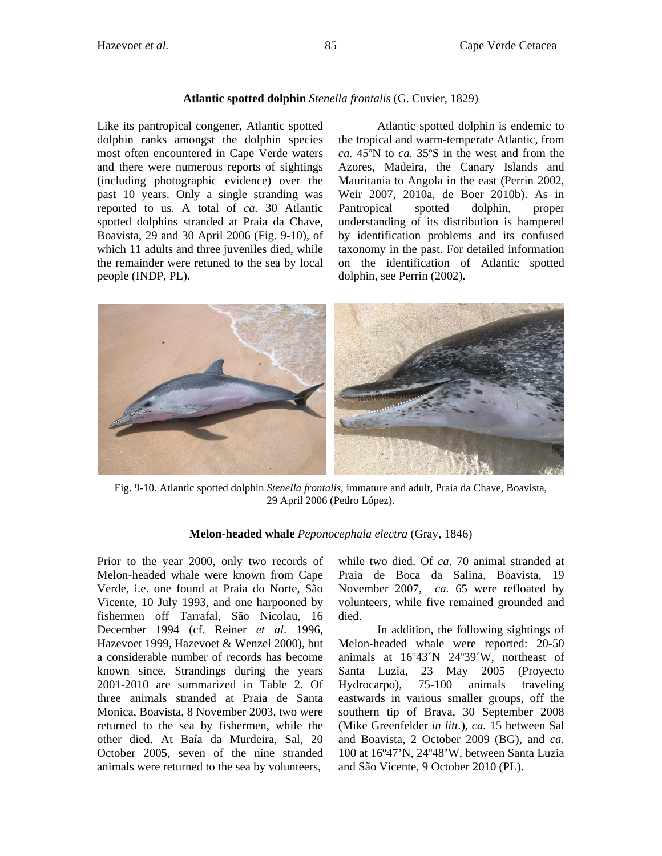# **Atlantic spotted dolphin** *Stenella frontalis* (G. Cuvier, 1829)

Like its pantropical congener, Atlantic spotted dolphin ranks amongst the dolphin species most often encountered in Cape Verde waters and there were numerous reports of sightings (including photographic evidence) over the past 10 years. Only a single stranding was reported to us. A total of *ca.* 30 Atlantic spotted dolphins stranded at Praia da Chave, Boavista, 29 and 30 April 2006 (Fig. 9-10), of which 11 adults and three juveniles died, while the remainder were retuned to the sea by local people (INDP, PL).

Atlantic spotted dolphin is endemic to the tropical and warm-temperate Atlantic, from *ca.* 45ºN to *ca.* 35ºS in the west and from the Azores, Madeira, the Canary Islands and Mauritania to Angola in the east (Perrin 2002, Weir 2007, 2010a, de Boer 2010b). As in Pantropical spotted dolphin, proper understanding of its distribution is hampered by identification problems and its confused taxonomy in the past. For detailed information on the identification of Atlantic spotted dolphin, see Perrin (2002).



Fig. 9-10. Atlantic spotted dolphin *Stenella frontalis*, immature and adult, Praia da Chave, Boavista, 29 April 2006 (Pedro López).

## **Melon-headed whale** *Peponocephala electra* (Gray, 1846)

Prior to the year 2000, only two records of Melon-headed whale were known from Cape Verde, i.e. one found at Praia do Norte, São Vicente, 10 July 1993, and one harpooned by fishermen off Tarrafal, São Nicolau, 16 December 1994 (cf. Reiner *et al*. 1996, Hazevoet 1999, Hazevoet & Wenzel 2000), but a considerable number of records has become known since. Strandings during the years 2001-2010 are summarized in Table 2. Of three animals stranded at Praia de Santa Monica, Boavista, 8 November 2003, two were returned to the sea by fishermen, while the other died. At Baía da Murdeira, Sal, 20 October 2005, seven of the nine stranded animals were returned to the sea by volunteers,

while two died. Of *ca*. 70 animal stranded at Praia de Boca da Salina, Boavista, 19 November 2007, *ca.* 65 were refloated by volunteers, while five remained grounded and died.

In addition, the following sightings of Melon-headed whale were reported: 20-50 animals at 16º43´N 24º39´W, northeast of Santa Luzia, 23 May 2005 (Proyecto Hydrocarpo), 75-100 animals traveling eastwards in various smaller groups, off the southern tip of Brava, 30 September 2008 (Mike Greenfelder *in litt.*), *ca.* 15 between Sal and Boavista, 2 October 2009 (BG), and *ca.*  100 at 16º47'N, 24º48'W, between Santa Luzia and São Vicente, 9 October 2010 (PL).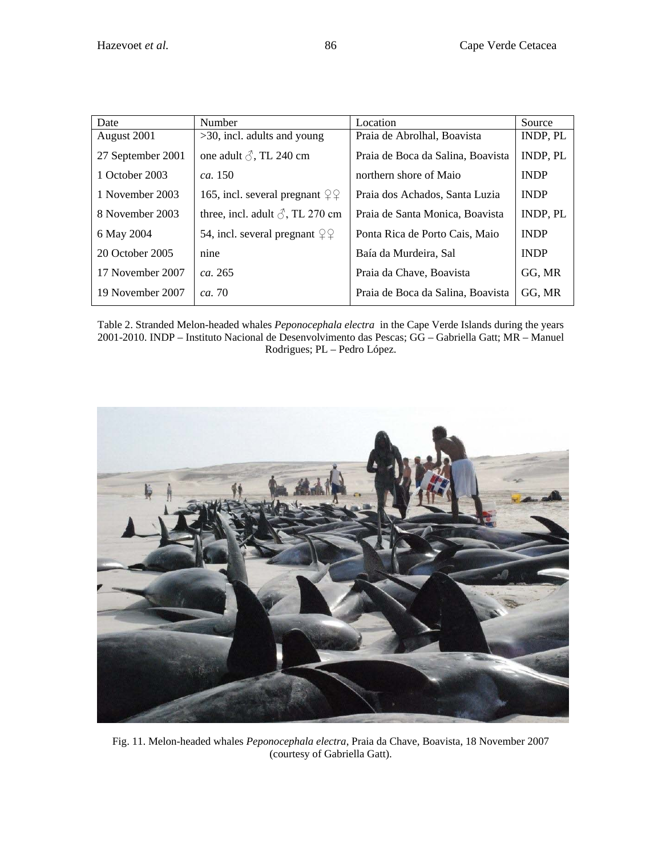| Date              | Number                                                | Location                          | Source          |
|-------------------|-------------------------------------------------------|-----------------------------------|-----------------|
| August 2001       | $>30$ , incl. adults and young                        | Praia de Abrolhal, Boavista       | <b>INDP, PL</b> |
| 27 September 2001 | one adult $\delta$ , TL 240 cm                        | Praia de Boca da Salina, Boavista | INDP, PL        |
| 1 October 2003    | ca. 150                                               | northern shore of Maio            | <b>INDP</b>     |
| 1 November 2003   | 165, incl. several pregnant $\mathcal{Q} \mathcal{Q}$ | Praia dos Achados, Santa Luzia    | <b>INDP</b>     |
| 8 November 2003   | three, incl. adult $\delta$ , TL 270 cm               | Praia de Santa Monica, Boavista   | <b>INDP, PL</b> |
| 6 May 2004        | 54, incl. several pregnant $\varphi$                  | Ponta Rica de Porto Cais, Maio    | <b>INDP</b>     |
| 20 October 2005   | nine                                                  | Baía da Murdeira, Sal             | <b>INDP</b>     |
| 17 November 2007  | ca. 265                                               | Praia da Chave, Boavista          | GG, MR          |
| 19 November 2007  | <i>ca.</i> 70                                         | Praia de Boca da Salina, Boavista | GG, MR          |

Table 2. Stranded Melon-headed whales *Peponocephala electra* in the Cape Verde Islands during the years 2001-2010. INDP – Instituto Nacional de Desenvolvimento das Pescas; GG – Gabriella Gatt; MR – Manuel Rodrigues; PL – Pedro López.



Fig. 11. Melon-headed whales *Peponocephala electra*, Praia da Chave, Boavista, 18 November 2007 (courtesy of Gabriella Gatt).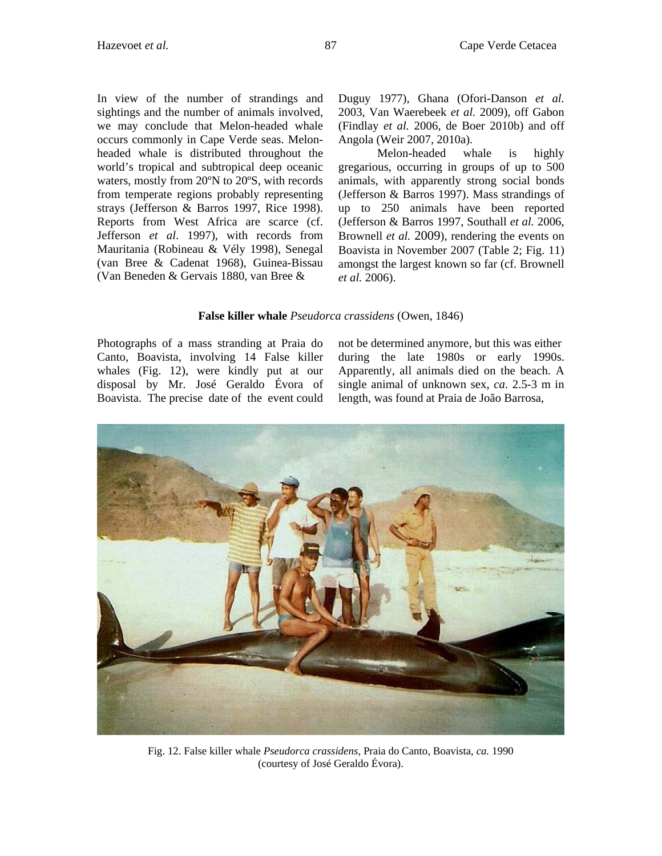In view of the number of strandings and sightings and the number of animals involved, we may conclude that Melon-headed whale occurs commonly in Cape Verde seas. Melonheaded whale is distributed throughout the world's tropical and subtropical deep oceanic waters, mostly from 20ºN to 20ºS, with records from temperate regions probably representing strays (Jefferson & Barros 1997, Rice 1998). Reports from West Africa are scarce (cf. Jefferson *et al*. 1997), with records from Mauritania (Robineau & Vély 1998), Senegal (van Bree & Cadenat 1968), Guinea-Bissau (Van Beneden & Gervais 1880, van Bree &

Duguy 1977), Ghana (Ofori-Danson *et al.* 2003, Van Waerebeek *et al.* 2009), off Gabon (Findlay *et al.* 2006, de Boer 2010b) and off Angola (Weir 2007, 2010a).

Melon-headed whale is highly gregarious, occurring in groups of up to 500 animals, with apparently strong social bonds (Jefferson & Barros 1997). Mass strandings of up to 250 animals have been reported (Jefferson & Barros 1997, Southall *et al.* 2006, Brownell *et al.* 2009), rendering the events on Boavista in November 2007 (Table 2; Fig. 11) amongst the largest known so far (cf. Brownell *et al.* 2006).

## **False killer whale** *Pseudorca crassidens* (Owen, 1846)

Photographs of a mass stranding at Praia do Canto, Boavista, involving 14 False killer whales (Fig. 12), were kindly put at our disposal by Mr. José Geraldo Évora of Boavista. The precise date of the event could not be determined anymore, but this was either during the late 1980s or early 1990s. Apparently, all animals died on the beach. A single animal of unknown sex, *ca*. 2.5-3 m in length, was found at Praia de João Barrosa,



Fig. 12. False killer whale *Pseudorca crassidens*, Praia do Canto, Boavista, *ca.* 1990 (courtesy of José Geraldo Évora).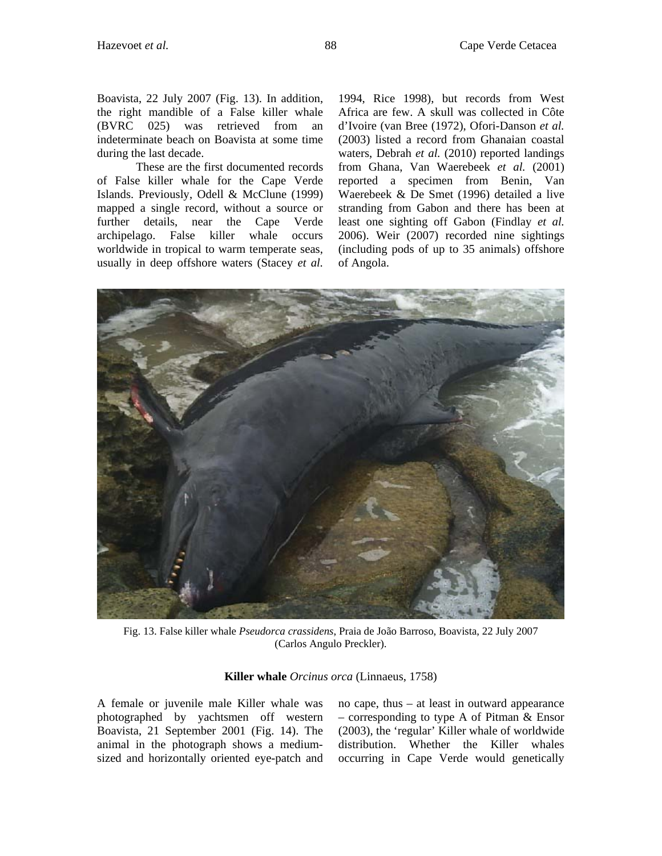Boavista, 22 July 2007 (Fig. 13). In addition, the right mandible of a False killer whale (BVRC 025) was retrieved from an indeterminate beach on Boavista at some time during the last decade.

These are the first documented records of False killer whale for the Cape Verde Islands. Previously, Odell & McClune (1999) mapped a single record, without a source or further details, near the Cape Verde archipelago. False killer whale occurs worldwide in tropical to warm temperate seas, usually in deep offshore waters (Stacey *et al.* 

1994, Rice 1998), but records from West Africa are few. A skull was collected in Côte d'Ivoire (van Bree (1972), Ofori-Danson *et al.*  (2003) listed a record from Ghanaian coastal waters, Debrah *et al.* (2010) reported landings from Ghana, Van Waerebeek *et al.* (2001) reported a specimen from Benin, Van Waerebeek & De Smet (1996) detailed a live stranding from Gabon and there has been at least one sighting off Gabon (Findlay *et al.*  2006). Weir (2007) recorded nine sightings (including pods of up to 35 animals) offshore of Angola.



Fig. 13. False killer whale *Pseudorca crassidens*, Praia de João Barroso, Boavista, 22 July 2007 (Carlos Angulo Preckler).

**Killer whale** *Orcinus orca* (Linnaeus, 1758)

A female or juvenile male Killer whale was photographed by yachtsmen off western Boavista, 21 September 2001 (Fig. 14). The animal in the photograph shows a mediumsized and horizontally oriented eye-patch and no cape, thus – at least in outward appearance – corresponding to type A of Pitman & Ensor (2003), the 'regular' Killer whale of worldwide distribution. Whether the Killer whales occurring in Cape Verde would genetically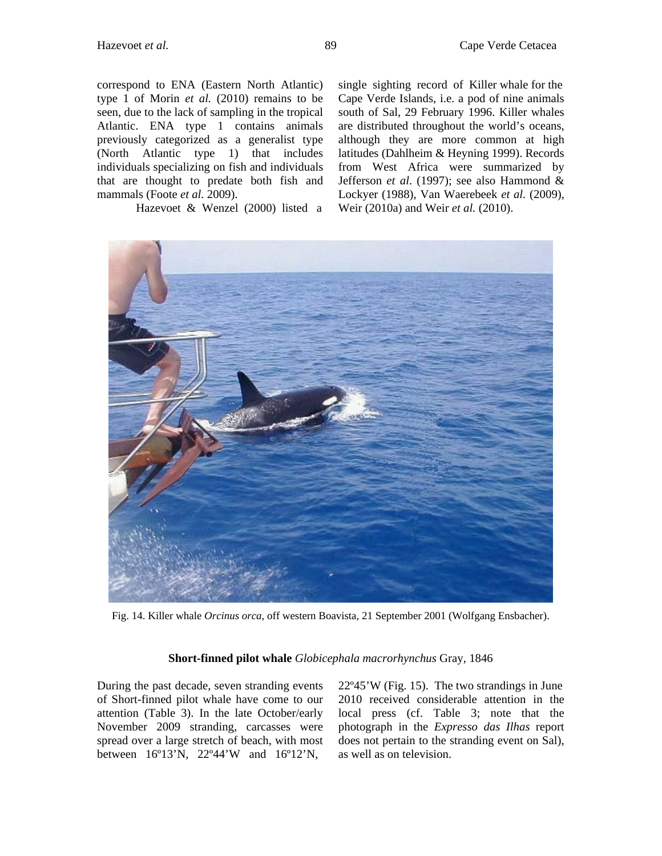correspond to ENA (Eastern North Atlantic) type 1 of Morin *et al.* (2010) remains to be seen, due to the lack of sampling in the tropical Atlantic. ENA type 1 contains animals previously categorized as a generalist type (North Atlantic type 1) that includes individuals specializing on fish and individuals that are thought to predate both fish and mammals (Foote *et al.* 2009).

Hazevoet & Wenzel (2000) listed a

single sighting record of Killer whale for the Cape Verde Islands, i.e. a pod of nine animals south of Sal, 29 February 1996. Killer whales are distributed throughout the world's oceans, although they are more common at high latitudes (Dahlheim & Heyning 1999). Records from West Africa were summarized by Jefferson *et al*. (1997); see also Hammond & Lockyer (1988), Van Waerebeek *et al.* (2009), Weir (2010a) and Weir *et al.* (2010).



Fig. 14. Killer whale *Orcinus orca*, off western Boavista, 21 September 2001 (Wolfgang Ensbacher).

#### **Short-finned pilot whale** *Globicephala macrorhynchus* Gray, 1846

During the past decade, seven stranding events of Short-finned pilot whale have come to our attention (Table 3). In the late October/early November 2009 stranding, carcasses were spread over a large stretch of beach, with most between 16º13'N, 22º44'W and 16º12'N,

22º45'W (Fig. 15). The two strandings in June 2010 received considerable attention in the local press (cf. Table 3; note that the photograph in the *Expresso das Ilhas* report does not pertain to the stranding event on Sal), as well as on television.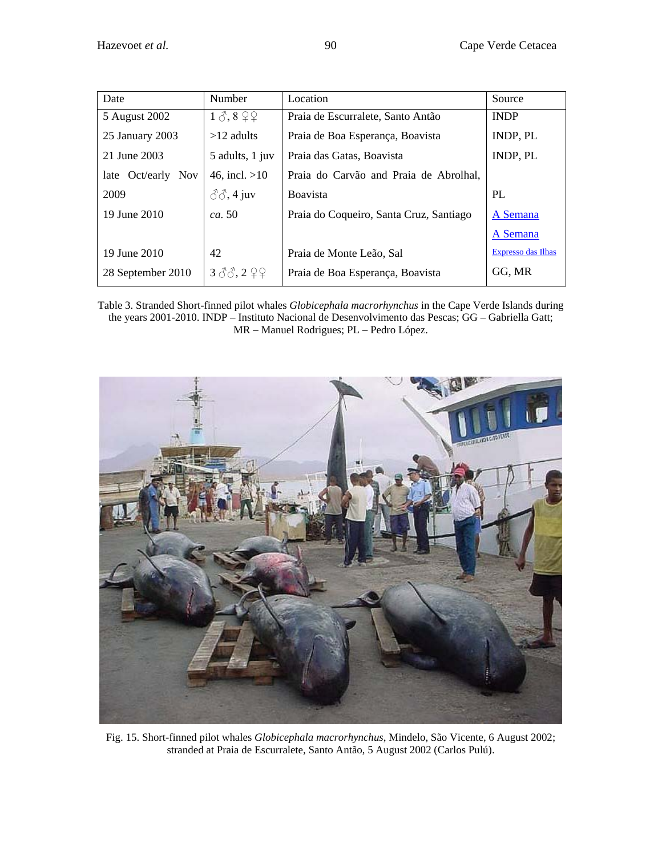| Date                            | Number                           | Location                                | Source                    |
|---------------------------------|----------------------------------|-----------------------------------------|---------------------------|
| 5 August 2002                   | $1 \delta$ , $8 \Omega$          | Praia de Escurralete, Santo Antão       | <b>INDP</b>               |
| 25 January 2003                 | $>12$ adults                     | Praia de Boa Esperança, Boavista        | <b>INDP, PL</b>           |
| 21 June 2003                    | 5 adults, 1 juv                  | Praia das Gatas, Boavista               | <b>INDP, PL</b>           |
| Oct/early<br><b>Nov</b><br>late | 46, incl. $>10$                  | Praia do Carvão and Praia de Abrolhal,  |                           |
| 2009                            | $\mathcal{S}\mathcal{S}$ , 4 juv | <b>Boavista</b>                         | PL                        |
| 19 June 2010                    | <i>ca.</i> 50                    | Praia do Coqueiro, Santa Cruz, Santiago | A Semana                  |
|                                 |                                  |                                         | A Semana                  |
| 19 June 2010                    | 42                               | Praia de Monte Leão, Sal                | <b>Expresso das Ilhas</b> |
| 28 September 2010               | 360, 299                         | Praia de Boa Esperança, Boavista        | GG, MR                    |

Table 3. Stranded Short-finned pilot whales *Globicephala macrorhynchus* in the Cape Verde Islands during the years 2001-2010. INDP – Instituto Nacional de Desenvolvimento das Pescas; GG – Gabriella Gatt; MR – Manuel Rodrigues; PL – Pedro López.



Fig. 15. Short-finned pilot whales *Globicephala macrorhynchus*, Mindelo, São Vicente, 6 August 2002; stranded at Praia de Escurralete, Santo Antão, 5 August 2002 (Carlos Pulú).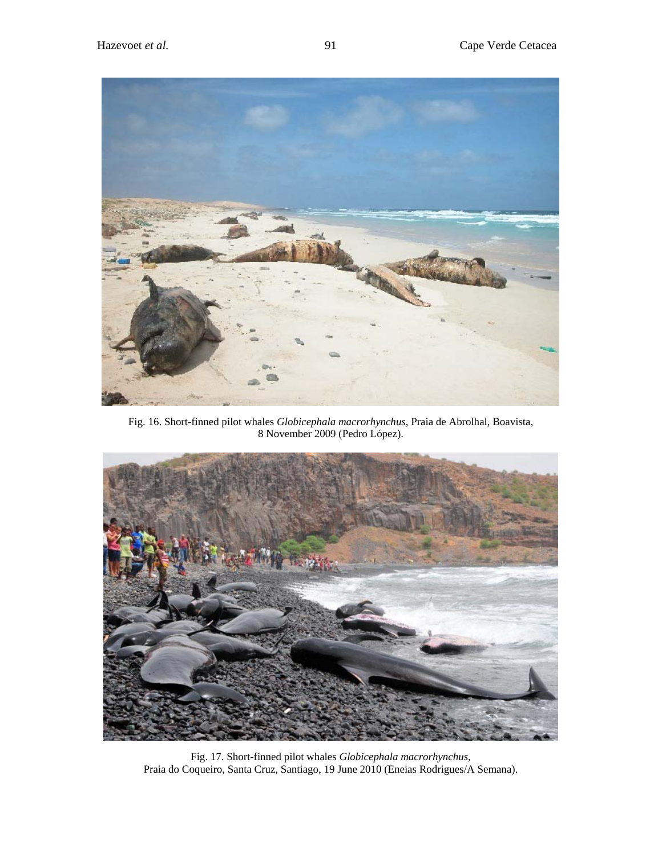

Fig. 16. Short-finned pilot whales *Globicephala macrorhynchus*, Praia de Abrolhal, Boavista, 8 November 2009 (Pedro López).



Fig. 17. Short-finned pilot whales *Globicephala macrorhynchus*, Praia do Coqueiro, Santa Cruz, Santiago, 19 June 2010 (Eneias Rodrigues/A Semana).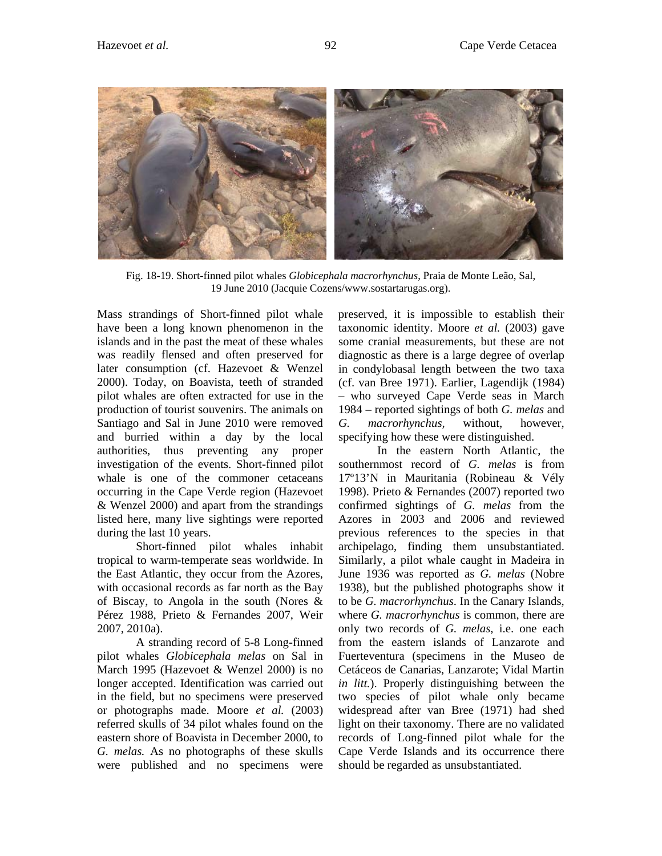

Fig. 18-19. Short-finned pilot whales *Globicephala macrorhynchus*, Praia de Monte Leão, Sal, 19 June 2010 (Jacquie Cozens/www.sostartarugas.org).

Mass strandings of Short-finned pilot whale have been a long known phenomenon in the islands and in the past the meat of these whales was readily flensed and often preserved for later consumption (cf. Hazevoet & Wenzel 2000). Today, on Boavista, teeth of stranded pilot whales are often extracted for use in the production of tourist souvenirs. The animals on Santiago and Sal in June 2010 were removed and burried within a day by the local authorities, thus preventing any proper investigation of the events. Short-finned pilot whale is one of the commoner cetaceans occurring in the Cape Verde region (Hazevoet & Wenzel 2000) and apart from the strandings listed here, many live sightings were reported during the last 10 years.

Short-finned pilot whales inhabit tropical to warm-temperate seas worldwide. In the East Atlantic, they occur from the Azores, with occasional records as far north as the Bay of Biscay, to Angola in the south (Nores & Pérez 1988, Prieto & Fernandes 2007, Weir 2007, 2010a).

A stranding record of 5-8 Long-finned pilot whales *Globicephala melas* on Sal in March 1995 (Hazevoet & Wenzel 2000) is no longer accepted. Identification was carried out in the field, but no specimens were preserved or photographs made. Moore *et al.* (2003) referred skulls of 34 pilot whales found on the eastern shore of Boavista in December 2000, to *G. melas.* As no photographs of these skulls were published and no specimens were

preserved, it is impossible to establish their taxonomic identity. Moore *et al.* (2003) gave some cranial measurements, but these are not diagnostic as there is a large degree of overlap in condylobasal length between the two taxa (cf. van Bree 1971). Earlier, Lagendijk (1984) – who surveyed Cape Verde seas in March 1984 – reported sightings of both *G. melas* and *G. macrorhynchus,* without, however, specifying how these were distinguished.

In the eastern North Atlantic, the southernmost record of *G. melas* is from 17º13'N in Mauritania (Robineau & Vély 1998). Prieto & Fernandes (2007) reported two confirmed sightings of *G. melas* from the Azores in 2003 and 2006 and reviewed previous references to the species in that archipelago, finding them unsubstantiated. Similarly, a pilot whale caught in Madeira in June 1936 was reported as *G. melas* (Nobre 1938), but the published photographs show it to be *G. macrorhynchus*. In the Canary Islands, where *G. macrorhynchus* is common, there are only two records of *G. melas*, i.e. one each from the eastern islands of Lanzarote and Fuerteventura (specimens in the Museo de Cetáceos de Canarias, Lanzarote; Vidal Martin *in litt.*). Properly distinguishing between the two species of pilot whale only became widespread after van Bree (1971) had shed light on their taxonomy. There are no validated records of Long-finned pilot whale for the Cape Verde Islands and its occurrence there should be regarded as unsubstantiated.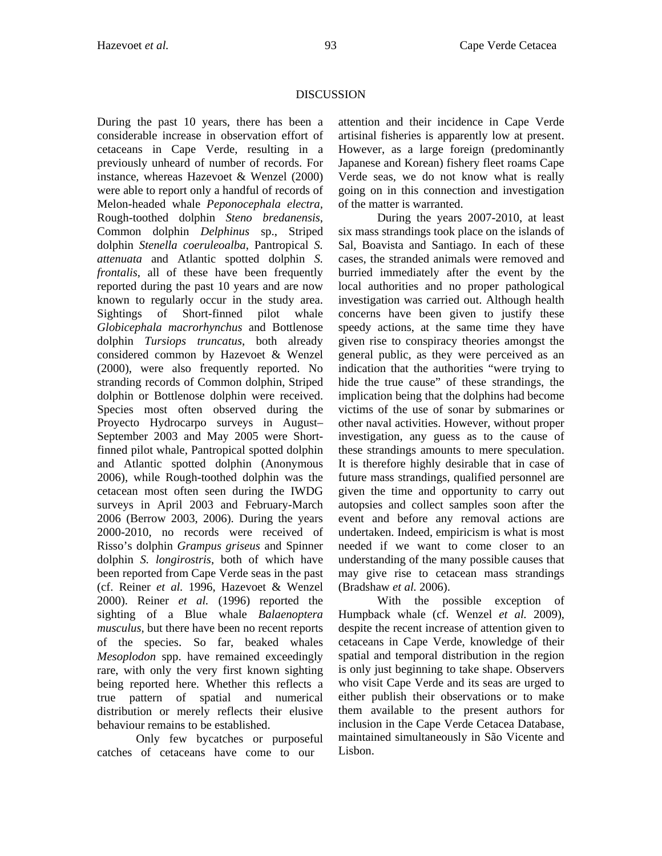# DISCUSSION

During the past 10 years, there has been a considerable increase in observation effort of cetaceans in Cape Verde, resulting in a previously unheard of number of records. For instance, whereas Hazevoet & Wenzel (2000) were able to report only a handful of records of Melon-headed whale *Peponocephala electra,*  Rough-toothed dolphin *Steno bredanensis*, Common dolphin *Delphinus* sp., Striped dolphin *Stenella coeruleoalba*, Pantropical *S. attenuata* and Atlantic spotted dolphin *S. frontalis*, all of these have been frequently reported during the past 10 years and are now known to regularly occur in the study area. Sightings of Short-finned pilot whale *Globicephala macrorhynchus* and Bottlenose dolphin *Tursiops truncatus*, both already considered common by Hazevoet & Wenzel (2000), were also frequently reported. No stranding records of Common dolphin, Striped dolphin or Bottlenose dolphin were received. Species most often observed during the Proyecto Hydrocarpo surveys in August– September 2003 and May 2005 were Shortfinned pilot whale, Pantropical spotted dolphin and Atlantic spotted dolphin (Anonymous 2006), while Rough-toothed dolphin was the cetacean most often seen during the IWDG surveys in April 2003 and February-March 2006 (Berrow 2003, 2006). During the years 2000-2010, no records were received of Risso's dolphin *Grampus griseus* and Spinner dolphin *S. longirostris*, both of which have been reported from Cape Verde seas in the past (cf. Reiner *et al.* 1996, Hazevoet & Wenzel 2000). Reiner *et al.* (1996) reported the sighting of a Blue whale *Balaenoptera musculus,* but there have been no recent reports of the species. So far, beaked whales *Mesoplodon* spp. have remained exceedingly rare, with only the very first known sighting being reported here. Whether this reflects a true pattern of spatial and numerical distribution or merely reflects their elusive behaviour remains to be established.

Only few bycatches or purposeful catches of cetaceans have come to our

attention and their incidence in Cape Verde artisinal fisheries is apparently low at present. However, as a large foreign (predominantly Japanese and Korean) fishery fleet roams Cape Verde seas, we do not know what is really going on in this connection and investigation of the matter is warranted.

During the years 2007-2010, at least six mass strandings took place on the islands of Sal, Boavista and Santiago. In each of these cases, the stranded animals were removed and burried immediately after the event by the local authorities and no proper pathological investigation was carried out. Although health concerns have been given to justify these speedy actions, at the same time they have given rise to conspiracy theories amongst the general public, as they were perceived as an indication that the authorities "were trying to hide the true cause" of these strandings, the implication being that the dolphins had become victims of the use of sonar by submarines or other naval activities. However, without proper investigation, any guess as to the cause of these strandings amounts to mere speculation. It is therefore highly desirable that in case of future mass strandings, qualified personnel are given the time and opportunity to carry out autopsies and collect samples soon after the event and before any removal actions are undertaken. Indeed, empiricism is what is most needed if we want to come closer to an understanding of the many possible causes that may give rise to cetacean mass strandings (Bradshaw *et al.* 2006).

With the possible exception of Humpback whale (cf. Wenzel *et al.* 2009), despite the recent increase of attention given to cetaceans in Cape Verde, knowledge of their spatial and temporal distribution in the region is only just beginning to take shape. Observers who visit Cape Verde and its seas are urged to either publish their observations or to make them available to the present authors for inclusion in the Cape Verde Cetacea Database, maintained simultaneously in São Vicente and Lisbon.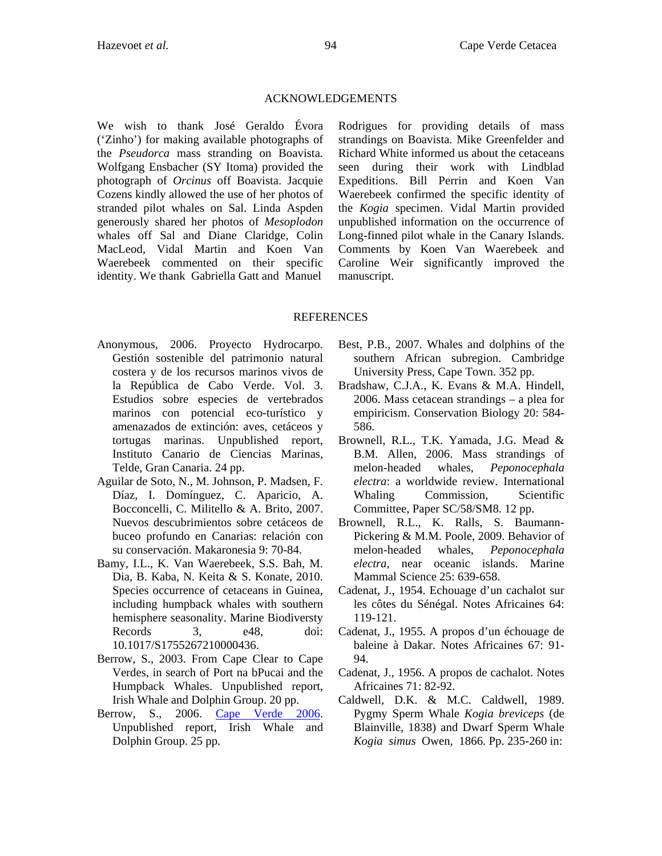#### ACKNOWLEDGEMENTS

We wish to thank José Geraldo Évora ('Zinho') for making available photographs of the *Pseudorca* mass stranding on Boavista. Wolfgang Ensbacher (SY Itoma) provided the photograph of *Orcinus* off Boavista. Jacquie Cozens kindly allowed the use of her photos of stranded pilot whales on Sal. Linda Aspden generously shared her photos of *Mesoplodon* whales off Sal and Diane Claridge, Colin MacLeod, Vidal Martin and Koen Van Waerebeek commented on their specific identity. We thank Gabriella Gatt and Manuel

Rodrigues for providing details of mass strandings on Boavista. Mike Greenfelder and Richard White informed us about the cetaceans seen during their work with Lindblad Expeditions. Bill Perrin and Koen Van Waerebeek confirmed the specific identity of the *Kogia* specimen. Vidal Martin provided unpublished information on the occurrence of Long-finned pilot whale in the Canary Islands. Comments by Koen Van Waerebeek and Caroline Weir significantly improved the manuscript.

#### **REFERENCES**

- Anonymous, 2006. Proyecto Hydrocarpo. Gestión sostenible del patrimonio natural costera y de los recursos marinos vivos de la República de Cabo Verde. Vol. 3. Estudios sobre especies de vertebrados marinos con potencial eco-turístico y amenazados de extinción: aves, cetáceos y tortugas marinas. Unpublished report, Instituto Canario de Ciencias Marinas, Telde, Gran Canaria. 24 pp.
- Aguilar de Soto, N., M. Johnson, P. Madsen, F. Díaz, I. Domínguez, C. Aparicio, A. Bocconcelli, C. Militello & A. Brito, 2007. Nuevos descubrimientos sobre cetáceos de buceo profundo en Canarias: relación con su conservación. Makaronesia 9: 70-84.
- Bamy, I.L., K. Van Waerebeek, S.S. Bah, M. Dia, B. Kaba, N. Keita & S. Konate, 2010. Species occurrence of cetaceans in Guinea, including humpback whales with southern hemisphere seasonality. Marine Biodiversty Records 3, e48, doi: 10.1017/S1755267210000436.
- Berrow, S., 2003. From Cape Clear to Cape Verdes, in search of Port na bPucai and the Humpback Whales. Unpublished report, Irish Whale and Dolphin Group. 20 pp.
- Berrow, S., 2006. [Cape Verde 2006.](http://www.iwdg.ie/downloads/CapeVerde2006.pdf) Unpublished report, Irish Whale and Dolphin Group. 25 pp.
- Best, P.B., 2007. Whales and dolphins of the southern African subregion. Cambridge University Press, Cape Town. 352 pp.
- Bradshaw, C.J.A., K. Evans & M.A. Hindell, 2006. Mass cetacean strandings – a plea for empiricism. Conservation Biology 20: 584- 586.
- Brownell, R.L., T.K. Yamada, J.G. Mead & B.M. Allen, 2006. Mass strandings of melon-headed whales, *Peponocephala electra*: a worldwide review. International Whaling Commission, Scientific Committee, Paper SC/58/SM8. 12 pp.
- Brownell, R.L., K. Ralls, S. Baumann-Pickering & M.M. Poole, 2009. Behavior of melon-headed whales, *Peponocephala electra*, near oceanic islands. Marine Mammal Science 25: 639-658.
- Cadenat, J., 1954. Echouage d'un cachalot sur les côtes du Sénégal. Notes Africaines 64: 119-121.
- Cadenat, J., 1955. A propos d'un échouage de baleine à Dakar. Notes Africaines 67: 91- 94.
- Cadenat, J., 1956. A propos de cachalot. Notes Africaines 71: 82-92.
- Caldwell, D.K. & M.C. Caldwell, 1989. Pygmy Sperm Whale *Kogia breviceps* (de Blainville, 1838) and Dwarf Sperm Whale *Kogia simus* Owen, 1866. Pp. 235-260 in: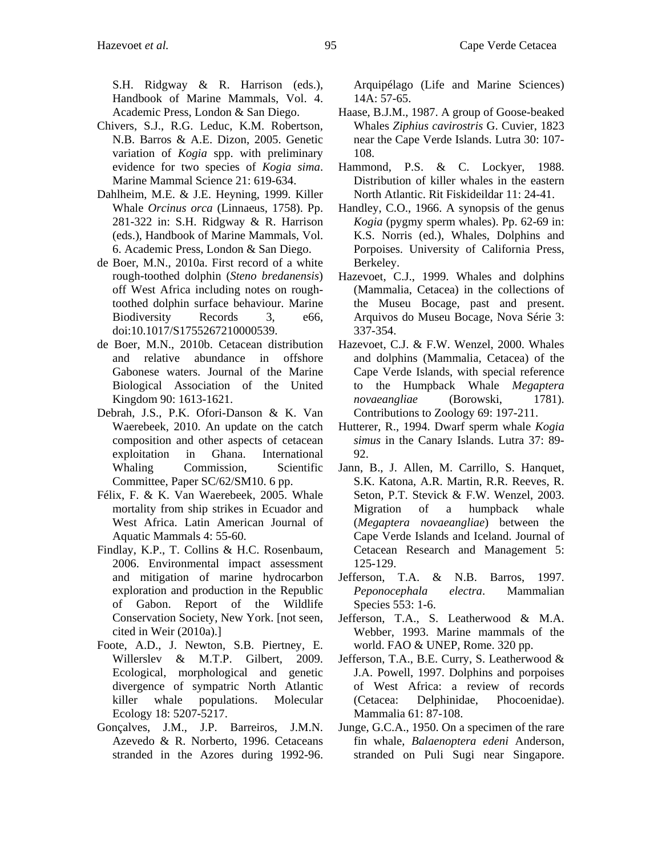S.H. Ridgway & R. Harrison (eds.), Handbook of Marine Mammals, Vol. 4. Academic Press, London & San Diego.

- Chivers, S.J., R.G. Leduc, K.M. Robertson, N.B. Barros & A.E. Dizon, 2005. Genetic variation of *Kogia* spp. with preliminary evidence for two species of *Kogia sima*. Marine Mammal Science 21: 619-634.
- Dahlheim, M.E. & J.E. Heyning, 1999. Killer Whale *Orcinus orca* (Linnaeus, 1758). Pp. 281-322 in: S.H. Ridgway & R. Harrison (eds.), Handbook of Marine Mammals, Vol. 6. Academic Press, London & San Diego.
- de Boer, M.N., 2010a. First record of a white rough-toothed dolphin (*Steno bredanensis*) off West Africa including notes on roughtoothed dolphin surface behaviour. Marine Biodiversity Records 3, e66, doi:10.1017/S1755267210000539.
- de Boer, M.N., 2010b. Cetacean distribution and relative abundance in offshore Gabonese waters. Journal of the Marine Biological Association of the United Kingdom 90: 1613-1621.
- Debrah, J.S., P.K. Ofori-Danson & K. Van Waerebeek, 2010. An update on the catch composition and other aspects of cetacean exploitation in Ghana. International Whaling Commission, Scientific Committee, Paper SC/62/SM10. 6 pp.
- Félix, F. & K. Van Waerebeek, 2005. Whale mortality from ship strikes in Ecuador and West Africa. Latin American Journal of Aquatic Mammals 4: 55-60.
- Findlay, K.P., T. Collins & H.C. Rosenbaum, 2006. Environmental impact assessment and mitigation of marine hydrocarbon exploration and production in the Republic of Gabon. Report of the Wildlife Conservation Society, New York. [not seen, cited in Weir (2010a).]
- Foote, A.D., J. Newton, S.B. Piertney, E. Willerslev & M.T.P. Gilbert, 2009. Ecological, morphological and genetic divergence of sympatric North Atlantic killer whale populations. Molecular Ecology 18: 5207-5217.
- Gonçalves, J.M., J.P. Barreiros, J.M.N. Azevedo & R. Norberto, 1996. Cetaceans stranded in the Azores during 1992-96.

Arquipélago (Life and Marine Sciences) 14A: 57-65.

- Haase, B.J.M., 1987. A group of Goose-beaked Whales *Ziphius cavirostris* G. Cuvier, 1823 near the Cape Verde Islands. Lutra 30: 107- 108.
- Hammond, P.S. & C. Lockyer, 1988. Distribution of killer whales in the eastern North Atlantic. Rit Fiskideildar 11: 24-41.
- Handley, C.O., 1966. A synopsis of the genus *Kogia* (pygmy sperm whales). Pp. 62-69 in: K.S. Norris (ed.), Whales, Dolphins and Porpoises. University of California Press, Berkeley.
- Hazevoet, C.J., 1999. Whales and dolphins (Mammalia, Cetacea) in the collections of the Museu Bocage, past and present. Arquivos do Museu Bocage, Nova Série 3: 337-354.
- Hazevoet, C.J. & F.W. Wenzel, 2000. Whales and dolphins (Mammalia, Cetacea) of the Cape Verde Islands, with special reference to the Humpback Whale *Megaptera novaeangliae* (Borowski, 1781). Contributions to Zoology 69: 197-211.
- Hutterer, R., 1994. Dwarf sperm whale *Kogia simus* in the Canary Islands. Lutra 37: 89- 92.
- Jann, B., J. Allen, M. Carrillo, S. Hanquet, S.K. Katona, A.R. Martin, R.R. Reeves, R. Seton, P.T. Stevick & F.W. Wenzel, 2003. Migration of a humpback whale (*Megaptera novaeangliae*) between the Cape Verde Islands and Iceland. Journal of Cetacean Research and Management 5: 125-129.
- Jefferson, T.A. & N.B. Barros, 1997. *Peponocephala electra*. Mammalian Species 553: 1-6.
- Jefferson, T.A., S. Leatherwood & M.A. Webber, 1993. Marine mammals of the world. FAO & UNEP, Rome. 320 pp.
- Jefferson, T.A., B.E. Curry, S. Leatherwood & J.A. Powell, 1997. Dolphins and porpoises of West Africa: a review of records (Cetacea: Delphinidae, Phocoenidae). Mammalia 61: 87-108.
- Junge, G.C.A., 1950. On a specimen of the rare fin whale, *Balaenoptera edeni* Anderson, stranded on Puli Sugi near Singapore.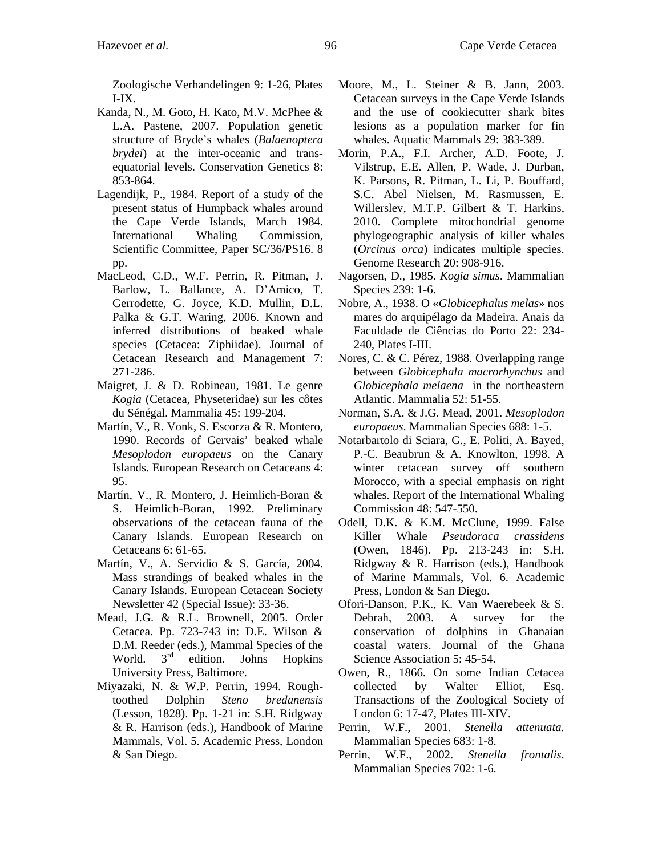Zoologische Verhandelingen 9: 1-26, Plates I-IX.

- Kanda, N., M. Goto, H. Kato, M.V. McPhee & L.A. Pastene, 2007. Population genetic structure of Bryde's whales (*Balaenoptera brydei*) at the inter-oceanic and transequatorial levels. Conservation Genetics 8: 853-864.
- Lagendijk, P., 1984. Report of a study of the present status of Humpback whales around the Cape Verde Islands, March 1984. International Whaling Commission, Scientific Committee, Paper SC/36/PS16. 8 pp.
- MacLeod, C.D., W.F. Perrin, R. Pitman, J. Barlow, L. Ballance, A. D'Amico, T. Gerrodette, G. Joyce, K.D. Mullin, D.L. Palka & G.T. Waring, 2006. Known and inferred distributions of beaked whale species (Cetacea: Ziphiidae). Journal of Cetacean Research and Management 7: 271-286.
- Maigret, J. & D. Robineau, 1981. Le genre *Kogia* (Cetacea, Physeteridae) sur les côtes du Sénégal. Mammalia 45: 199-204.
- Martín, V., R. Vonk, S. Escorza & R. Montero, 1990. Records of Gervais' beaked whale *Mesoplodon europaeus* on the Canary Islands. European Research on Cetaceans 4: 95.
- Martín, V., R. Montero, J. Heimlich-Boran & S. Heimlich-Boran, 1992. Preliminary observations of the cetacean fauna of the Canary Islands. European Research on Cetaceans 6: 61-65.
- Martín, V., A. Servidio & S. García, 2004. Mass strandings of beaked whales in the Canary Islands. European Cetacean Society Newsletter 42 (Special Issue): 33-36.
- Mead, J.G. & R.L. Brownell, 2005. Order Cetacea. Pp. 723-743 in: D.E. Wilson & D.M. Reeder (eds.), Mammal Species of the World.  $3<sup>rd</sup>$  edition. Johns Hopkins University Press, Baltimore.
- Miyazaki, N. & W.P. Perrin, 1994. Roughtoothed Dolphin *Steno bredanensis* (Lesson, 1828). Pp. 1-21 in: S.H. Ridgway & R. Harrison (eds.), Handbook of Marine Mammals, Vol. 5. Academic Press, London & San Diego.
- Moore, M., L. Steiner & B. Jann, 2003. Cetacean surveys in the Cape Verde Islands and the use of cookiecutter shark bites lesions as a population marker for fin whales. Aquatic Mammals 29: 383-389.
- Morin, P.A., F.I. Archer, A.D. Foote, J. Vilstrup, E.E. Allen, P. Wade, J. Durban, K. Parsons, R. Pitman, L. Li, P. Bouffard, S.C. Abel Nielsen, M. Rasmussen, E. Willerslev, M.T.P. Gilbert & T. Harkins, 2010. Complete mitochondrial genome phylogeographic analysis of killer whales (*Orcinus orca*) indicates multiple species. Genome Research 20: 908-916.
- Nagorsen, D., 1985. *Kogia simus*. Mammalian Species 239: 1-6.
- Nobre, A., 1938. O «*Globicephalus melas*» nos mares do arquipélago da Madeira. Anais da Faculdade de Ciências do Porto 22: 234- 240, Plates I-III.
- Nores, C. & C. Pérez, 1988. Overlapping range between *Globicephala macrorhynchus* and *Globicephala melaena* in the northeastern Atlantic. Mammalia 52: 51-55.
- Norman, S.A. & J.G. Mead, 2001. *Mesoplodon europaeus*. Mammalian Species 688: 1-5.
- Notarbartolo di Sciara, G., E. Politi, A. Bayed, P.-C. Beaubrun & A. Knowlton, 1998. A winter cetacean survey off southern Morocco, with a special emphasis on right whales. Report of the International Whaling Commission 48: 547-550.
- Odell, D.K. & K.M. McClune, 1999. False Killer Whale *Pseudoraca crassidens*  (Owen, 1846). Pp. 213-243 in: S.H. Ridgway & R. Harrison (eds.), Handbook of Marine Mammals, Vol. 6. Academic Press, London & San Diego.
- Ofori-Danson, P.K., K. Van Waerebeek & S. Debrah, 2003. A survey for the conservation of dolphins in Ghanaian coastal waters. Journal of the Ghana Science Association 5: 45-54.
- Owen, R., 1866. On some Indian Cetacea collected by Walter Elliot, Esq. Transactions of the Zoological Society of London 6: 17-47, Plates III-XIV.
- Perrin, W.F., 2001. *Stenella attenuata.*  Mammalian Species 683: 1-8.
- Perrin, W.F., 2002. *Stenella frontalis*. Mammalian Species 702: 1-6.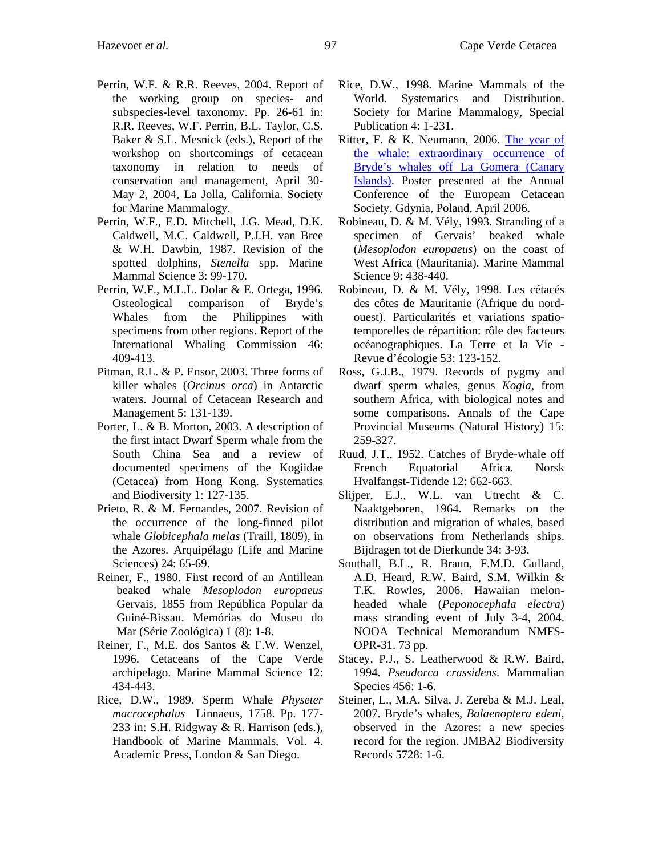- Perrin, W.F. & R.R. Reeves, 2004. Report of the working group on species- and subspecies-level taxonomy. Pp. 26-61 in: R.R. Reeves, W.F. Perrin, B.L. Taylor, C.S. Baker & S.L. Mesnick (eds.), Report of the workshop on shortcomings of cetacean taxonomy in relation to needs of conservation and management, April 30- May 2, 2004, La Jolla, California. Society for Marine Mammalogy.
- Perrin, W.F., E.D. Mitchell, J.G. Mead, D.K. Caldwell, M.C. Caldwell, P.J.H. van Bree & W.H. Dawbin, 1987. Revision of the spotted dolphins, *Stenella* spp. Marine Mammal Science 3: 99-170.
- Perrin, W.F., M.L.L. Dolar & E. Ortega, 1996. Osteological comparison of Bryde's Whales from the Philippines with specimens from other regions. Report of the International Whaling Commission 46: 409-413.
- Pitman, R.L. & P. Ensor, 2003. Three forms of killer whales (*Orcinus orca*) in Antarctic waters. Journal of Cetacean Research and Management 5: 131-139.
- Porter, L. & B. Morton, 2003. A description of the first intact Dwarf Sperm whale from the South China Sea and a review of documented specimens of the Kogiidae (Cetacea) from Hong Kong. Systematics and Biodiversity 1: 127-135.
- Prieto, R. & M. Fernandes, 2007. Revision of the occurrence of the long-finned pilot whale *Globicephala melas* (Traill, 1809), in the Azores. Arquipélago (Life and Marine Sciences) 24: 65-69.
- Reiner, F., 1980. First record of an Antillean beaked whale *Mesoplodon europaeus*  Gervais, 1855 from República Popular da Guiné-Bissau. Memórias do Museu do Mar (Série Zoológica) 1 (8): 1-8.
- Reiner, F., M.E. dos Santos & F.W. Wenzel, 1996. Cetaceans of the Cape Verde archipelago. Marine Mammal Science 12: 434-443.
- Rice, D.W., 1989. Sperm Whale *Physeter macrocephalus* Linnaeus, 1758. Pp. 177- 233 in: S.H. Ridgway & R. Harrison (eds.), Handbook of Marine Mammals, Vol. 4. Academic Press, London & San Diego.
- Rice, D.W., 1998. Marine Mammals of the World. Systematics and Distribution. Society for Marine Mammalogy, Special Publication 4: 1-231.
- Ritter, F. & K. Neumann, 2006. [The year of](http://www.m-e-e-r.de/uploads/media/Bryde__s_Whales_2005.pdf)  [the whale: extraordinary occurrence of](http://www.m-e-e-r.de/uploads/media/Bryde__s_Whales_2005.pdf)  [Bryde's whales off La Gomera \(Canary](http://www.m-e-e-r.de/uploads/media/Bryde__s_Whales_2005.pdf)  [Islands\).](http://www.m-e-e-r.de/uploads/media/Bryde__s_Whales_2005.pdf) Poster presented at the Annual Conference of the European Cetacean Society, Gdynia, Poland, April 2006.
- Robineau, D. & M. Vély, 1993. Stranding of a specimen of Gervais' beaked whale (*Mesoplodon europaeus*) on the coast of West Africa (Mauritania). Marine Mammal Science 9: 438-440.
- Robineau, D. & M. Vély, 1998. Les cétacés des côtes de Mauritanie (Afrique du nordouest). Particularités et variations spatiotemporelles de répartition: rôle des facteurs océanographiques. La Terre et la Vie - Revue d'écologie 53: 123-152.
- Ross, G.J.B., 1979. Records of pygmy and dwarf sperm whales, genus *Kogia*, from southern Africa, with biological notes and some comparisons. Annals of the Cape Provincial Museums (Natural History) 15: 259-327.
- Ruud, J.T., 1952. Catches of Bryde-whale off French Equatorial Africa. Norsk Hvalfangst-Tidende 12: 662-663.
- Slijper, E.J., W.L. van Utrecht & C. Naaktgeboren, 1964. Remarks on the distribution and migration of whales, based on observations from Netherlands ships. Bijdragen tot de Dierkunde 34: 3-93.
- Southall, B.L., R. Braun, F.M.D. Gulland, A.D. Heard, R.W. Baird, S.M. Wilkin & T.K. Rowles, 2006. Hawaiian melonheaded whale (*Peponocephala electra*) mass stranding event of July 3-4, 2004. NOOA Technical Memorandum NMFS-OPR-31. 73 pp.
- Stacey, P.J., S. Leatherwood & R.W. Baird, 1994. *Pseudorca crassidens*. Mammalian Species 456: 1-6.
- Steiner, L., M.A. Silva, J. Zereba & M.J. Leal, 2007. Bryde's whales, *Balaenoptera edeni,*  observed in the Azores: a new species record for the region. JMBA2 Biodiversity Records 5728: 1-6.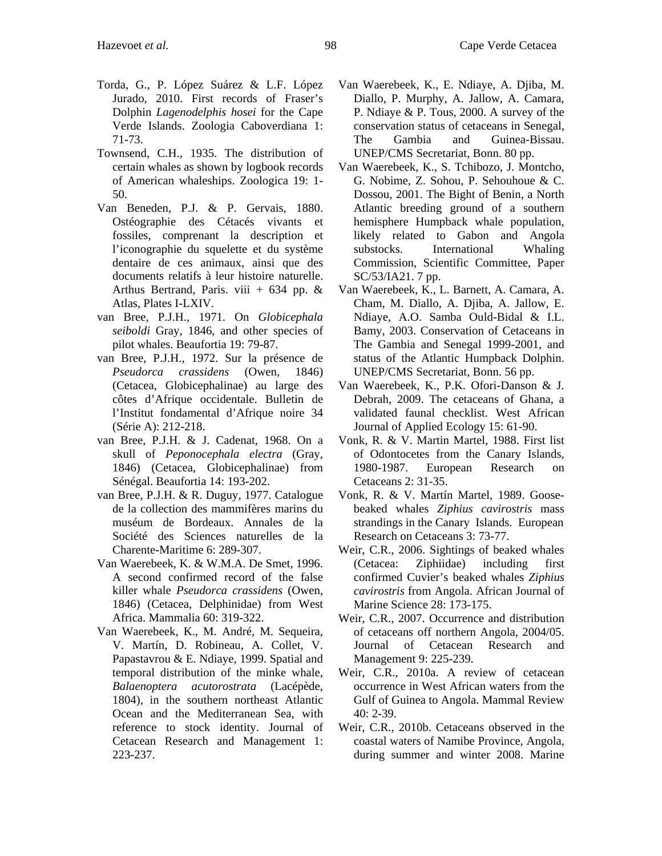- Torda, G., P. López Suárez & L.F. López Jurado, 2010. First records of Fraser's Dolphin *Lagenodelphis hosei* for the Cape Verde Islands. Zoologia Caboverdiana 1: 71-73.
- Townsend, C.H., 1935. The distribution of certain whales as shown by logbook records of American whaleships. Zoologica 19: 1- 50.
- Van Beneden, P.J. & P. Gervais, 1880. Ostéographie des Cétacés vivants et fossiles, comprenant la description et l'iconographie du squelette et du système dentaire de ces animaux, ainsi que des documents relatifs à leur histoire naturelle. Arthus Bertrand, Paris. viii + 634 pp.  $\&$ Atlas, Plates I-LXIV.
- van Bree, P.J.H., 1971. On *Globicephala seiboldi* Gray, 1846, and other species of pilot whales. Beaufortia 19: 79-87.
- van Bree, P.J.H., 1972. Sur la présence de *Pseudorca crassidens* (Owen, 1846) (Cetacea, Globicephalinae) au large des côtes d'Afrique occidentale. Bulletin de l'Institut fondamental d'Afrique noire 34 (Série A): 212-218.
- van Bree, P.J.H. & J. Cadenat, 1968. On a skull of *Peponocephala electra* (Gray, 1846) (Cetacea, Globicephalinae) from Sénégal. Beaufortia 14: 193-202.
- van Bree, P.J.H. & R. Duguy, 1977. Catalogue de la collection des mammifères marins du muséum de Bordeaux. Annales de la Société des Sciences naturelles de la Charente-Maritime 6: 289-307.
- Van Waerebeek, K. & W.M.A. De Smet, 1996. A second confirmed record of the false killer whale *Pseudorca crassidens* (Owen, 1846) (Cetacea, Delphinidae) from West Africa. Mammalia 60: 319-322.
- Van Waerebeek, K., M. André, M. Sequeira, V. Martín, D. Robineau, A. Collet, V. Papastavrou & E. Ndiaye, 1999. Spatial and temporal distribution of the minke whale, *Balaenoptera acutorostrata* (Lacépède, 1804), in the southern northeast Atlantic Ocean and the Mediterranean Sea, with reference to stock identity. Journal of Cetacean Research and Management 1: 223-237.
- Van Waerebeek, K., E. Ndiaye, A. Djiba, M. Diallo, P. Murphy, A. Jallow, A. Camara, P. Ndiaye & P. Tous, 2000. A survey of the conservation status of cetaceans in Senegal, The Gambia and Guinea-Bissau. UNEP/CMS Secretariat, Bonn. 80 pp.
- Van Waerebeek, K., S. Tchibozo, J. Montcho, G. Nobime, Z. Sohou, P. Sehouhoue & C. Dossou, 2001. The Bight of Benin, a North Atlantic breeding ground of a southern hemisphere Humpback whale population, likely related to Gabon and Angola substocks. International Whaling Commission, Scientific Committee, Paper SC/53/IA21. 7 pp.
- Van Waerebeek, K., L. Barnett, A. Camara, A. Cham, M. Diallo, A. Djiba, A. Jallow, E. Ndiaye, A.O. Samba Ould-Bidal & I.L. Bamy, 2003. Conservation of Cetaceans in The Gambia and Senegal 1999-2001, and status of the Atlantic Humpback Dolphin. UNEP/CMS Secretariat, Bonn. 56 pp.
- Van Waerebeek, K., P.K. Ofori-Danson & J. Debrah, 2009. The cetaceans of Ghana, a validated faunal checklist. West African Journal of Applied Ecology 15: 61-90.
- Vonk, R. & V. Martin Martel, 1988. First list of Odontocetes from the Canary Islands, 1980-1987. European Research on Cetaceans 2: 31-35.
- Vonk, R. & V. Martín Martel, 1989. Goosebeaked whales *Ziphius cavirostris* mass strandings in the Canary Islands. European Research on Cetaceans 3: 73-77.
- Weir, C.R., 2006. Sightings of beaked whales (Cetacea: Ziphiidae) including first confirmed Cuvier's beaked whales *Ziphius cavirostris* from Angola. African Journal of Marine Science 28: 173-175.
- Weir, C.R., 2007. Occurrence and distribution of cetaceans off northern Angola, 2004/05. Journal of Cetacean Research and Management 9: 225-239.
- Weir, C.R., 2010a. A review of cetacean occurrence in West African waters from the Gulf of Guinea to Angola. Mammal Review 40: 2-39.
- Weir, C.R., 2010b. Cetaceans observed in the coastal waters of Namibe Province, Angola, during summer and winter 2008. Marine